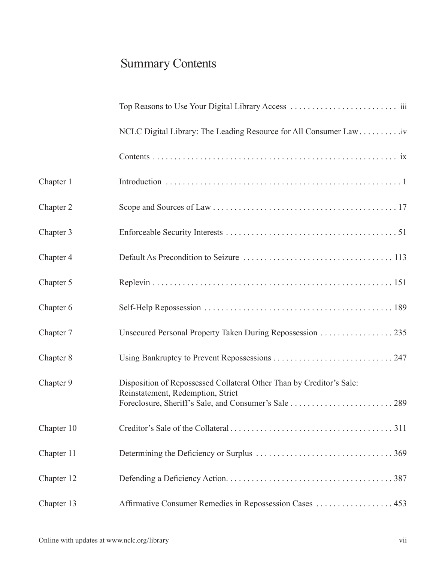## Summary Contents

|            | NCLC Digital Library: The Leading Resource for All Consumer Law iv                                        |  |
|------------|-----------------------------------------------------------------------------------------------------------|--|
|            |                                                                                                           |  |
| Chapter 1  |                                                                                                           |  |
| Chapter 2  |                                                                                                           |  |
| Chapter 3  |                                                                                                           |  |
| Chapter 4  |                                                                                                           |  |
| Chapter 5  |                                                                                                           |  |
| Chapter 6  |                                                                                                           |  |
| Chapter 7  | Unsecured Personal Property Taken During Repossession 235                                                 |  |
| Chapter 8  |                                                                                                           |  |
| Chapter 9  | Disposition of Repossessed Collateral Other Than by Creditor's Sale:<br>Reinstatement, Redemption, Strict |  |
| Chapter 10 |                                                                                                           |  |
| Chapter 11 |                                                                                                           |  |
| Chapter 12 |                                                                                                           |  |
| Chapter 13 | Affirmative Consumer Remedies in Repossession Cases  453                                                  |  |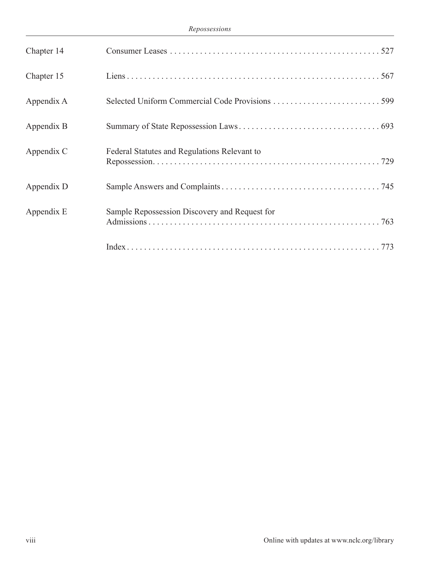| Chapter 14 |                                               |
|------------|-----------------------------------------------|
| Chapter 15 |                                               |
| Appendix A |                                               |
| Appendix B |                                               |
| Appendix C | Federal Statutes and Regulations Relevant to  |
| Appendix D |                                               |
| Appendix E | Sample Repossession Discovery and Request for |
|            |                                               |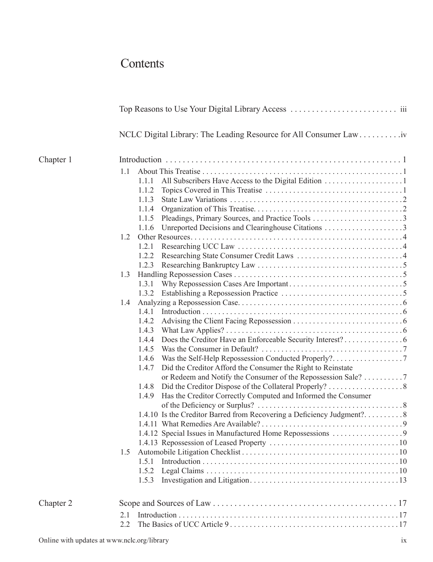## **Contents**

|           | NCLC Digital Library: The Leading Resource for All Consumer Law iv |                                                                        |  |  |  |
|-----------|--------------------------------------------------------------------|------------------------------------------------------------------------|--|--|--|
| Chapter 1 |                                                                    |                                                                        |  |  |  |
|           | 1.1                                                                |                                                                        |  |  |  |
|           |                                                                    | 1.1.1                                                                  |  |  |  |
|           |                                                                    | 1.1.2                                                                  |  |  |  |
|           |                                                                    | 1.1.3                                                                  |  |  |  |
|           |                                                                    | 1.1.4                                                                  |  |  |  |
|           |                                                                    |                                                                        |  |  |  |
|           |                                                                    |                                                                        |  |  |  |
|           | 1.2                                                                |                                                                        |  |  |  |
|           |                                                                    | 1.2.1                                                                  |  |  |  |
|           |                                                                    |                                                                        |  |  |  |
|           |                                                                    | 1.2.3                                                                  |  |  |  |
|           | 1.3                                                                |                                                                        |  |  |  |
|           |                                                                    | 1.3.1                                                                  |  |  |  |
|           |                                                                    | 1.3.2                                                                  |  |  |  |
|           | 1.4                                                                |                                                                        |  |  |  |
|           |                                                                    |                                                                        |  |  |  |
|           |                                                                    | 1.4.2                                                                  |  |  |  |
|           |                                                                    | 1.4.3                                                                  |  |  |  |
|           |                                                                    | 1.4.4                                                                  |  |  |  |
|           |                                                                    | 1.4.5                                                                  |  |  |  |
|           |                                                                    | 1.4.6                                                                  |  |  |  |
|           |                                                                    | Did the Creditor Afford the Consumer the Right to Reinstate<br>1.4.7   |  |  |  |
|           |                                                                    | or Redeem and Notify the Consumer of the Repossession Sale? 7          |  |  |  |
|           |                                                                    | 1.4.8                                                                  |  |  |  |
|           |                                                                    | Has the Creditor Correctly Computed and Informed the Consumer<br>1.4.9 |  |  |  |
|           |                                                                    |                                                                        |  |  |  |
|           |                                                                    | 1.4.10 Is the Creditor Barred from Recovering a Deficiency Judgment?8  |  |  |  |
|           |                                                                    |                                                                        |  |  |  |
|           |                                                                    | 1.4.12 Special Issues in Manufactured Home Repossessions 9             |  |  |  |
|           |                                                                    |                                                                        |  |  |  |
|           | 1.5                                                                |                                                                        |  |  |  |
|           |                                                                    | 1.5.1                                                                  |  |  |  |
|           |                                                                    | 1.5.2                                                                  |  |  |  |
|           |                                                                    | 1.5.3                                                                  |  |  |  |
| Chapter 2 |                                                                    |                                                                        |  |  |  |
|           | 2.1                                                                |                                                                        |  |  |  |
|           | 2.2                                                                |                                                                        |  |  |  |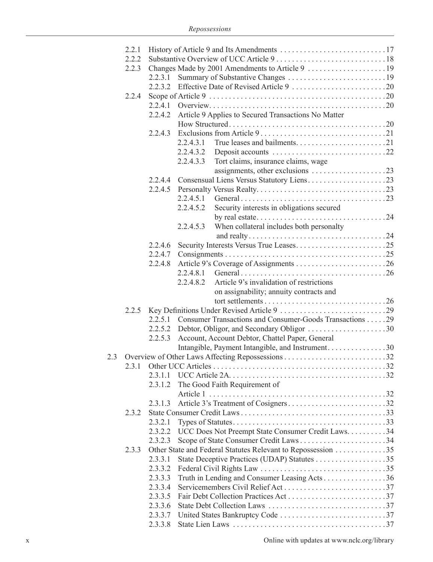|     | 2.2.1 |         |           |                                                              |  |
|-----|-------|---------|-----------|--------------------------------------------------------------|--|
|     | 2.2.2 |         |           |                                                              |  |
|     | 2.2.3 |         |           |                                                              |  |
|     |       | 2.2.3.1 |           |                                                              |  |
|     |       |         |           |                                                              |  |
|     | 2.2.4 |         |           |                                                              |  |
|     |       |         |           |                                                              |  |
|     |       | 2.2.4.2 |           | Article 9 Applies to Secured Transactions No Matter          |  |
|     |       |         |           |                                                              |  |
|     |       | 2.2.4.3 |           |                                                              |  |
|     |       |         | 2.2.4.3.1 |                                                              |  |
|     |       |         | 2.2.4.3.2 |                                                              |  |
|     |       |         | 2.2.4.3.3 |                                                              |  |
|     |       |         |           | Tort claims, insurance claims, wage                          |  |
|     |       |         |           | assignments, other exclusions 23                             |  |
|     |       | 2.2.4.4 |           |                                                              |  |
|     |       | 2.2.4.5 |           |                                                              |  |
|     |       |         | 2.2.4.5.1 |                                                              |  |
|     |       |         | 2.2.4.5.2 | Security interests in obligations secured                    |  |
|     |       |         |           |                                                              |  |
|     |       |         | 2.2.4.5.3 | When collateral includes both personalty                     |  |
|     |       |         |           |                                                              |  |
|     |       | 2.2.4.6 |           |                                                              |  |
|     |       | 2.2.4.7 |           |                                                              |  |
|     |       | 2.2.4.8 |           |                                                              |  |
|     |       |         |           |                                                              |  |
|     |       |         | 2.2.4.8.2 | Article 9's invalidation of restrictions                     |  |
|     |       |         |           | on assignability; annuity contracts and                      |  |
|     |       |         |           |                                                              |  |
|     | 2.2.5 |         |           |                                                              |  |
|     |       | 2.2.5.1 |           | Consumer Transactions and Consumer-Goods Transactions 29     |  |
|     |       |         |           |                                                              |  |
|     |       | 2.2.5.3 |           | Account, Account Debtor, Chattel Paper, General              |  |
|     |       |         |           | Intangible, Payment Intangible, and Instrument. 30           |  |
| 2.3 |       |         |           |                                                              |  |
|     |       |         |           |                                                              |  |
|     |       | 2.3.1.1 |           |                                                              |  |
|     |       | 2.3.1.2 |           | The Good Faith Requirement of                                |  |
|     |       |         |           |                                                              |  |
|     |       | 2.3.1.3 |           | Article 3's Treatment of Cosigners32                         |  |
|     | 2.3.2 |         |           |                                                              |  |
|     |       | 2.3.2.1 |           |                                                              |  |
|     |       | 2.3.2.2 |           | UCC Does Not Preempt State Consumer Credit Laws. 34          |  |
|     |       | 2.3.2.3 |           |                                                              |  |
|     | 2.3.3 |         |           | Other State and Federal Statutes Relevant to Repossession 35 |  |
|     |       | 2.3.3.1 |           |                                                              |  |
|     |       | 2.3.3.2 |           |                                                              |  |
|     |       | 2.3.3.3 |           | Truth in Lending and Consumer Leasing Acts36                 |  |
|     |       | 2.3.3.4 |           |                                                              |  |
|     |       | 2.3.3.5 |           |                                                              |  |
|     |       | 2.3.3.6 |           |                                                              |  |
|     |       | 2.3.3.7 |           |                                                              |  |
|     |       | 2.3.3.8 |           |                                                              |  |
|     |       |         |           |                                                              |  |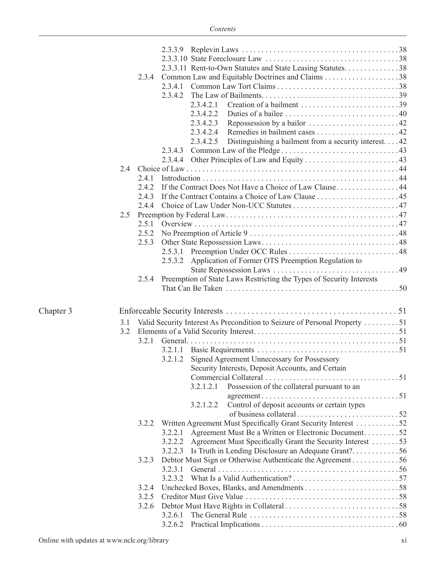|           |       | 2.3.3.11 Rent-to-Own Statutes and State Leasing Statutes. 38               |  |
|-----------|-------|----------------------------------------------------------------------------|--|
|           | 2.3.4 |                                                                            |  |
|           |       |                                                                            |  |
|           |       |                                                                            |  |
|           |       | 2.3.4.2.1                                                                  |  |
|           |       | 2.3.4.2.2                                                                  |  |
|           |       | 2.3.4.2.3                                                                  |  |
|           |       | 2.3.4.2.4                                                                  |  |
|           |       | Distinguishing a bailment from a security interest. 42<br>2.3.4.2.5        |  |
|           |       |                                                                            |  |
|           |       |                                                                            |  |
|           | 2.4   |                                                                            |  |
|           | 241   |                                                                            |  |
|           | 2.4.2 | If the Contract Does Not Have a Choice of Law Clause44                     |  |
|           | 243   |                                                                            |  |
|           |       |                                                                            |  |
|           | 2.5   |                                                                            |  |
|           |       |                                                                            |  |
|           |       |                                                                            |  |
|           | 2.5.3 |                                                                            |  |
|           |       |                                                                            |  |
|           |       | 2.5.3.2 Application of Former OTS Preemption Regulation to                 |  |
|           |       |                                                                            |  |
|           | 2.5.4 | Preemption of State Laws Restricting the Types of Security Interests       |  |
|           |       |                                                                            |  |
| Chapter 3 |       |                                                                            |  |
|           | 3.1   | Valid Security Interest As Precondition to Seizure of Personal Property 51 |  |
|           | 3.2   |                                                                            |  |
|           | 3.2.1 |                                                                            |  |
|           |       |                                                                            |  |
|           |       | 3.2.1.2 Signed Agreement Unnecessary for Possessory                        |  |
|           |       | Security Interests, Deposit Accounts, and Certain                          |  |
|           |       |                                                                            |  |
|           |       | Possession of the collateral pursuant to an<br>3.2.1.2.1                   |  |
|           |       |                                                                            |  |
|           |       | Control of deposit accounts or certain types<br>3.2.1.2.2                  |  |
|           |       |                                                                            |  |
|           | 3.2.2 | Written Agreement Must Specifically Grant Security Interest 52             |  |
|           |       | Agreement Must Be a Written or Electronic Document52<br>3.2.2.1            |  |
|           |       | Agreement Must Specifically Grant the Security Interest 53<br>3.2.2.2      |  |
|           |       | 3.2.2.3 Is Truth in Lending Disclosure an Adequate Grant?56                |  |
|           | 3.2.3 | Debtor Must Sign or Otherwise Authenticate the Agreement 56                |  |
|           |       |                                                                            |  |
|           |       |                                                                            |  |
|           | 3.2.4 |                                                                            |  |
|           | 3.2.5 |                                                                            |  |
|           |       | 3.2.6                                                                      |  |
|           |       | 3.2.6.1                                                                    |  |
|           |       |                                                                            |  |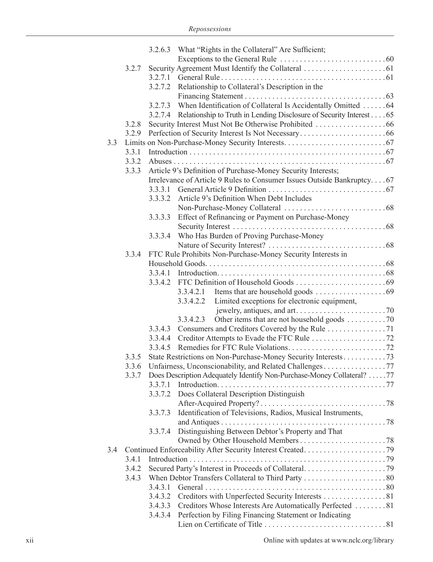|     |       |         | 3.2.6.3 What "Rights in the Collateral" Are Sufficient;                |
|-----|-------|---------|------------------------------------------------------------------------|
|     |       |         |                                                                        |
|     | 3.2.7 |         |                                                                        |
|     |       | 3.2.7.1 |                                                                        |
|     |       | 3.2.7.2 | Relationship to Collateral's Description in the                        |
|     |       |         |                                                                        |
|     |       | 3.2.7.3 | When Identification of Collateral Is Accidentally Omitted 64           |
|     |       | 3.2.7.4 | Relationship to Truth in Lending Disclosure of Security Interest 65    |
|     | 3.2.8 |         |                                                                        |
|     |       |         |                                                                        |
|     | 3.2.9 |         |                                                                        |
| 3.3 |       |         |                                                                        |
|     | 3.3.1 |         |                                                                        |
|     | 3.3.2 |         |                                                                        |
|     | 3.3.3 |         | Article 9's Definition of Purchase-Money Security Interests;           |
|     |       |         | Irrelevance of Article 9 Rules to Consumer Issues Outside Bankruptcy67 |
|     |       | 3.3.3.1 |                                                                        |
|     |       | 3.3.3.2 | Article 9's Definition When Debt Includes                              |
|     |       |         |                                                                        |
|     |       | 3.3.3.3 | Effect of Refinancing or Payment on Purchase-Money                     |
|     |       |         |                                                                        |
|     |       | 3.3.3.4 | Who Has Burden of Proving Purchase-Money                               |
|     |       |         |                                                                        |
|     | 3.3.4 |         | FTC Rule Prohibits Non-Purchase-Money Security Interests in            |
|     |       |         |                                                                        |
|     |       |         |                                                                        |
|     |       |         |                                                                        |
|     |       |         | 3.3.4.2.1                                                              |
|     |       |         | Limited exceptions for electronic equipment,<br>3.3.4.2.2              |
|     |       |         |                                                                        |
|     |       |         | Other items that are not household goods 70<br>3.3.4.2.3               |
|     |       | 3.3.4.3 | Consumers and Creditors Covered by the Rule 71                         |
|     |       | 3.3.4.4 |                                                                        |
|     |       | 3.3.4.5 |                                                                        |
|     | 3.3.5 |         | State Restrictions on Non-Purchase-Money Security Interests73          |
|     | 3.3.6 |         | Unfairness, Unconscionability, and Related Challenges 77               |
|     | 3.3.7 |         | Does Description Adequately Identify Non-Purchase-Money Collateral? 77 |
|     |       | 3.3.7.1 |                                                                        |
|     |       |         | 3.3.7.2 Does Collateral Description Distinguish                        |
|     |       |         |                                                                        |
|     |       | 3.3.7.3 | Identification of Televisions, Radios, Musical Instruments,            |
|     |       |         |                                                                        |
|     |       | 3.3.7.4 | Distinguishing Between Debtor's Property and That                      |
|     |       |         |                                                                        |
|     |       |         |                                                                        |
| 3.4 |       |         |                                                                        |
|     | 3.4.1 |         |                                                                        |
|     | 3.4.2 |         |                                                                        |
|     | 3.4.3 |         |                                                                        |
|     |       | 3.4.3.1 |                                                                        |
|     |       | 3.4.3.2 | Creditors with Unperfected Security Interests 81                       |
|     |       | 3.4.3.3 | Creditors Whose Interests Are Automatically Perfected 81               |
|     |       | 3.4.3.4 | Perfection by Filing Financing Statement or Indicating                 |
|     |       |         |                                                                        |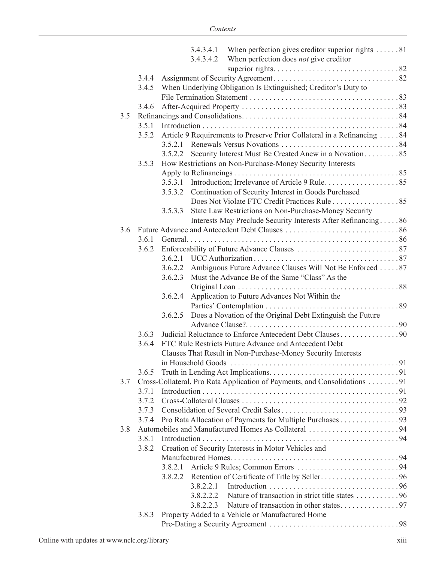|     |       |         | 3.4.3.4.1 When perfection gives creditor superior rights 81               |
|-----|-------|---------|---------------------------------------------------------------------------|
|     |       |         | 3.4.3.4.2 When perfection does <i>not</i> give creditor                   |
|     |       |         |                                                                           |
|     | 3.4.4 |         |                                                                           |
|     | 3.4.5 |         | When Underlying Obligation Is Extinguished; Creditor's Duty to            |
|     |       |         |                                                                           |
|     | 3.4.6 |         |                                                                           |
| 3.5 |       |         |                                                                           |
|     | 3.5.1 |         |                                                                           |
|     | 3.5.2 |         | Article 9 Requirements to Preserve Prior Collateral in a Refinancing 84   |
|     |       | 3.5.2.1 |                                                                           |
|     |       |         |                                                                           |
|     | 3.5.3 |         | How Restrictions on Non-Purchase-Money Security Interests                 |
|     |       |         |                                                                           |
|     |       |         |                                                                           |
|     |       |         | 3.5.3.2 Continuation of Security Interest in Goods Purchased              |
|     |       |         | Does Not Violate FTC Credit Practices Rule 85                             |
|     |       | 3.5.3.3 | State Law Restrictions on Non-Purchase-Money Security                     |
|     |       |         | Interests May Preclude Security Interests After Refinancing86             |
| 3.6 |       |         |                                                                           |
|     | 3.6.1 |         |                                                                           |
|     | 3.6.2 |         |                                                                           |
|     |       |         |                                                                           |
|     |       |         | 3.6.2.2 Ambiguous Future Advance Clauses Will Not Be Enforced 87          |
|     |       | 3.6.2.3 | Must the Advance Be of the Same "Class" As the                            |
|     |       |         |                                                                           |
|     |       | 3.6.2.4 | Application to Future Advances Not Within the                             |
|     |       |         |                                                                           |
|     |       | 3.6.2.5 | Does a Novation of the Original Debt Extinguish the Future                |
|     |       |         |                                                                           |
|     | 3.6.3 |         | Judicial Reluctance to Enforce Antecedent Debt Clauses 90                 |
|     | 3.6.4 |         | FTC Rule Restricts Future Advance and Antecedent Debt                     |
|     |       |         | Clauses That Result in Non-Purchase-Money Security Interests              |
|     |       |         |                                                                           |
|     | 3.6.5 |         |                                                                           |
| 3.7 |       |         | Cross-Collateral, Pro Rata Application of Payments, and Consolidations 91 |
|     | 3.7.1 |         |                                                                           |
|     | 3.7.2 |         |                                                                           |
|     | 3.7.3 |         |                                                                           |
|     | 3.7.4 |         | Pro Rata Allocation of Payments for Multiple Purchases 93                 |
| 3.8 |       |         |                                                                           |
|     | 3.8.1 |         |                                                                           |
|     | 3.8.2 |         | Creation of Security Interests in Motor Vehicles and                      |
|     |       |         |                                                                           |
|     |       | 3.8.2.1 |                                                                           |
|     |       |         |                                                                           |
|     |       |         |                                                                           |
|     |       |         | 3.8.2.2.2 Nature of transaction in strict title states 96                 |
|     |       |         |                                                                           |
|     | 3.8.3 |         | Property Added to a Vehicle or Manufactured Home                          |
|     |       |         |                                                                           |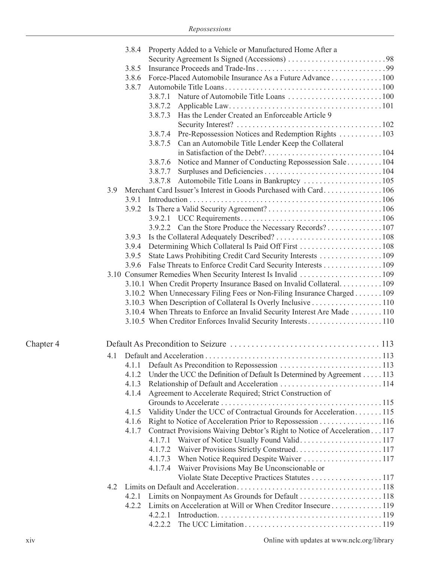|           | 3.8.4<br>3.8.5<br>3.8.6<br>3.8.7 | Property Added to a Vehicle or Manufactured Home After a<br>Force-Placed Automobile Insurance As a Future Advance 100        |  |
|-----------|----------------------------------|------------------------------------------------------------------------------------------------------------------------------|--|
|           |                                  | 3.8.7.3 Has the Lender Created an Enforceable Article 9                                                                      |  |
|           |                                  | 3.8.7.4 Pre-Repossession Notices and Redemption Rights  103<br>Can an Automobile Title Lender Keep the Collateral<br>3.8.7.5 |  |
|           |                                  | Notice and Manner of Conducting Repossession Sale 104<br>3.8.7.6                                                             |  |
|           |                                  | 3.8.7.8 Automobile Title Loans in Bankruptcy 105                                                                             |  |
|           | 3.9                              |                                                                                                                              |  |
|           | 3.9.1                            |                                                                                                                              |  |
|           |                                  |                                                                                                                              |  |
|           |                                  | 3.9.2.2 Can the Store Produce the Necessary Records? 107                                                                     |  |
|           | 3.9.3                            |                                                                                                                              |  |
|           | 3.9.4                            |                                                                                                                              |  |
|           | 3.9.5                            | State Laws Prohibiting Credit Card Security Interests 109                                                                    |  |
|           | 3.9.6                            | False Threats to Enforce Credit Card Security Interests 109                                                                  |  |
|           |                                  |                                                                                                                              |  |
|           |                                  | 3.10.1 When Credit Property Insurance Based on Invalid Collateral109                                                         |  |
|           |                                  | 3.10.2 When Unnecessary Filing Fees or Non-Filing Insurance Charged 109                                                      |  |
|           |                                  | 3.10.3 When Description of Collateral Is Overly Inclusive 110                                                                |  |
|           |                                  | 3.10.4 When Threats to Enforce an Invalid Security Interest Are Made 110                                                     |  |
|           |                                  |                                                                                                                              |  |
| Chapter 4 |                                  |                                                                                                                              |  |
|           | 4.1                              |                                                                                                                              |  |
|           |                                  |                                                                                                                              |  |
|           | 4.1.2                            | Under the UCC the Definition of Default Is Determined by Agreement 113                                                       |  |
|           | 4.1.3                            |                                                                                                                              |  |
|           | 4.1.4                            | Agreement to Accelerate Required; Strict Construction of                                                                     |  |
|           |                                  |                                                                                                                              |  |
|           | 4.1.5                            | Validity Under the UCC of Contractual Grounds for Acceleration115                                                            |  |
|           | 4.1.6                            | Right to Notice of Acceleration Prior to Repossession 116                                                                    |  |
|           | 4.1.7                            | Contract Provisions Waiving Debtor's Right to Notice of Acceleration 117                                                     |  |
|           |                                  |                                                                                                                              |  |
|           |                                  | 4.1.7.4 Waiver Provisions May Be Unconscionable or                                                                           |  |
|           |                                  | Violate State Deceptive Practices Statutes 117                                                                               |  |
|           | 4.2                              |                                                                                                                              |  |
|           | 4.2.1                            |                                                                                                                              |  |
|           | 4.2.2                            | Limits on Acceleration at Will or When Creditor Insecure 119                                                                 |  |
|           |                                  | 4.2.2.1<br>4.2.2.2                                                                                                           |  |
|           |                                  |                                                                                                                              |  |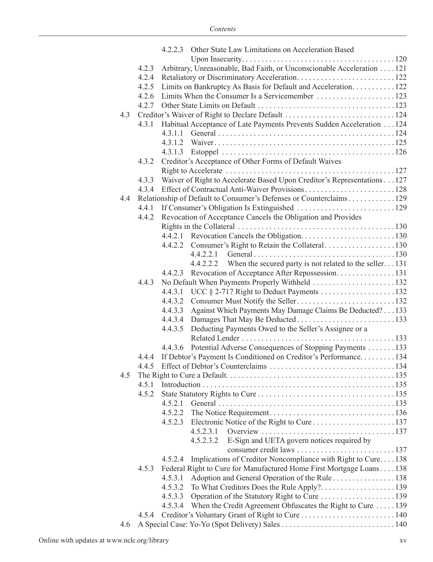|     |       | 4.2.2.3 Other State Law Limitations on Acceleration Based               |  |
|-----|-------|-------------------------------------------------------------------------|--|
|     |       |                                                                         |  |
|     | 4.2.3 | Arbitrary, Unreasonable, Bad Faith, or Unconscionable Acceleration 121  |  |
|     | 4.2.4 |                                                                         |  |
|     | 4.2.5 | Limits on Bankruptcy As Basis for Default and Acceleration. 122         |  |
|     | 4.2.6 |                                                                         |  |
|     | 4.2.7 |                                                                         |  |
| 4.3 |       | Creditor's Waiver of Right to Declare Default 124                       |  |
|     | 4.3.1 | Habitual Acceptance of Late Payments Prevents Sudden Acceleration 124   |  |
|     |       | 4.3.1.1                                                                 |  |
|     |       |                                                                         |  |
|     |       |                                                                         |  |
|     | 4.3.2 | Creditor's Acceptance of Other Forms of Default Waives                  |  |
|     |       |                                                                         |  |
|     | 4.3.3 | Waiver of Right to Accelerate Based Upon Creditor's Representations 127 |  |
|     | 4.3.4 |                                                                         |  |
| 4.4 |       | Relationship of Default to Consumer's Defenses or Counterclaims129      |  |
|     | 4.4.1 |                                                                         |  |
|     | 4.4.2 | Revocation of Acceptance Cancels the Obligation and Provides            |  |
|     |       |                                                                         |  |
|     |       |                                                                         |  |
|     |       |                                                                         |  |
|     |       | 4.4.2.2.1                                                               |  |
|     |       | 4.4.2.2.2 When the secured party is not related to the seller131        |  |
|     |       | 4.4.2.3 Revocation of Acceptance After Repossession. 131                |  |
|     | 4.4.3 | No Default When Payments Properly Withheld 132                          |  |
|     |       |                                                                         |  |
|     |       | 4.4.3.2                                                                 |  |
|     |       | Against Which Payments May Damage Claims Be Deducted? 133<br>4.4.3.3    |  |
|     |       |                                                                         |  |
|     |       | Deducting Payments Owed to the Seller's Assignee or a<br>4.4.3.5        |  |
|     |       |                                                                         |  |
|     |       | Potential Adverse Consequences of Stopping Payments 133<br>4.4.3.6      |  |
|     |       | 4.4.4 If Debtor's Payment Is Conditioned on Creditor's Performance134   |  |
|     | 4.4.5 | Effect of Debtor's Counterclaims                                        |  |
| 4.5 |       |                                                                         |  |
|     |       |                                                                         |  |
|     | 4.5.2 |                                                                         |  |
|     |       |                                                                         |  |
|     |       | 4.5.2.2                                                                 |  |
|     |       | 4.5.2.3                                                                 |  |
|     |       | 4.5.2.3.1                                                               |  |
|     |       | E-Sign and UETA govern notices required by<br>4.5.2.3.2                 |  |
|     |       |                                                                         |  |
|     |       | Implications of Creditor Noncompliance with Right to Cure138<br>4.5.2.4 |  |
|     | 4.5.3 | Federal Right to Cure for Manufactured Home First Mortgage Loans138     |  |
|     |       | 4.5.3.1                                                                 |  |
|     |       | 4.5.3.2                                                                 |  |
|     |       | 4.5.3.3                                                                 |  |
|     |       | When the Credit Agreement Obfuscates the Right to Cure 139<br>4.5.3.4   |  |
|     | 4.5.4 |                                                                         |  |
| 4.6 |       |                                                                         |  |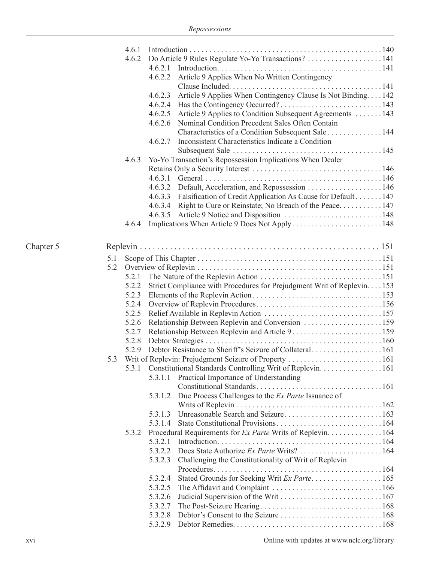|           |     | 4.6.1 |         |                                                                         |  |
|-----------|-----|-------|---------|-------------------------------------------------------------------------|--|
|           |     | 4.6.2 |         |                                                                         |  |
|           |     |       | 4.6.2.1 |                                                                         |  |
|           |     |       | 4.6.2.2 | Article 9 Applies When No Written Contingency                           |  |
|           |     |       |         |                                                                         |  |
|           |     |       | 4.6.2.3 | Article 9 Applies When Contingency Clause Is Not Binding142             |  |
|           |     |       |         |                                                                         |  |
|           |     |       |         | 4.6.2.5 Article 9 Applies to Condition Subsequent Agreements 143        |  |
|           |     |       |         | 4.6.2.6 Nominal Condition Precedent Sales Often Contain                 |  |
|           |     |       |         | Characteristics of a Condition Subsequent Sale 144                      |  |
|           |     |       | 4.6.2.7 | Inconsistent Characteristics Indicate a Condition                       |  |
|           |     |       |         |                                                                         |  |
|           |     | 4.6.3 |         | Yo-Yo Transaction's Repossession Implications When Dealer               |  |
|           |     |       |         |                                                                         |  |
|           |     |       |         |                                                                         |  |
|           |     |       |         |                                                                         |  |
|           |     |       |         | 4.6.3.3 Falsification of Credit Application As Cause for Default147     |  |
|           |     |       |         |                                                                         |  |
|           |     |       |         |                                                                         |  |
|           |     | 4.6.4 |         |                                                                         |  |
|           |     |       |         |                                                                         |  |
|           |     |       |         |                                                                         |  |
| Chapter 5 |     |       |         |                                                                         |  |
|           | 5.1 |       |         |                                                                         |  |
|           | 5.2 |       |         |                                                                         |  |
|           |     | 5.2.1 |         |                                                                         |  |
|           |     | 5.2.2 |         | Strict Compliance with Procedures for Prejudgment Writ of Replevin. 153 |  |
|           |     | 5.2.3 |         |                                                                         |  |
|           |     | 5.2.4 |         |                                                                         |  |
|           |     | 5.2.5 |         |                                                                         |  |
|           |     | 5.2.6 |         |                                                                         |  |
|           |     | 5.2.7 |         |                                                                         |  |
|           |     | 5.2.8 |         |                                                                         |  |
|           |     | 5.2.9 |         |                                                                         |  |
|           | 5.3 |       |         |                                                                         |  |
|           |     |       |         | 5.3.1 Constitutional Standards Controlling Writ of Replevin. 161        |  |
|           |     |       | 5.3.1.1 | Practical Importance of Understanding                                   |  |
|           |     |       |         |                                                                         |  |
|           |     |       | 5.3.1.2 | Due Process Challenges to the Ex Parte Issuance of                      |  |
|           |     |       |         |                                                                         |  |
|           |     |       | 5.3.1.3 |                                                                         |  |
|           |     |       | 5.3.1.4 |                                                                         |  |
|           |     | 5.3.2 |         | Procedural Requirements for Ex Parte Writs of Replevin. 164             |  |
|           |     |       | 5.3.2.1 |                                                                         |  |
|           |     |       | 5.3.2.2 |                                                                         |  |
|           |     |       | 5.3.2.3 | Challenging the Constitutionality of Writ of Replevin                   |  |
|           |     |       |         |                                                                         |  |
|           |     |       | 5.3.2.4 |                                                                         |  |
|           |     |       | 5.3.2.5 |                                                                         |  |
|           |     |       | 5.3.2.6 |                                                                         |  |
|           |     |       | 5.3.2.7 |                                                                         |  |
|           |     |       | 5.3.2.8 |                                                                         |  |
|           |     |       | 5.3.2.9 |                                                                         |  |
|           |     |       |         |                                                                         |  |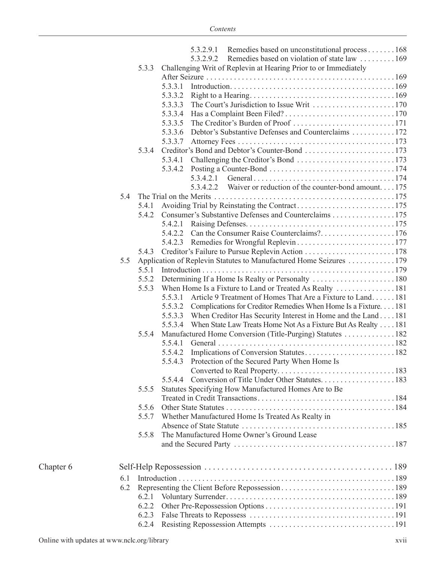|           |     |       | 5.3.2.9.1 Remedies based on unconstitutional process 168<br>Remedies based on violation of state law 169<br>5.3.2.9.2 |  |
|-----------|-----|-------|-----------------------------------------------------------------------------------------------------------------------|--|
|           |     | 5.3.3 | Challenging Writ of Replevin at Hearing Prior to or Immediately                                                       |  |
|           |     |       |                                                                                                                       |  |
|           |     |       |                                                                                                                       |  |
|           |     |       |                                                                                                                       |  |
|           |     |       |                                                                                                                       |  |
|           |     |       |                                                                                                                       |  |
|           |     |       |                                                                                                                       |  |
|           |     |       | 5.3.3.6 Debtor's Substantive Defenses and Counterclaims 172                                                           |  |
|           |     |       |                                                                                                                       |  |
|           |     | 5.3.4 |                                                                                                                       |  |
|           |     |       | 5.3.4.1 Challenging the Creditor's Bond 173                                                                           |  |
|           |     |       |                                                                                                                       |  |
|           |     |       |                                                                                                                       |  |
|           |     |       | 5.3.4.2.2 Waiver or reduction of the counter-bond amount 175                                                          |  |
|           | 5.4 |       |                                                                                                                       |  |
|           |     | 5.4.1 |                                                                                                                       |  |
|           |     | 5.4.2 | Consumer's Substantive Defenses and Counterclaims 175                                                                 |  |
|           |     |       |                                                                                                                       |  |
|           |     |       |                                                                                                                       |  |
|           |     |       |                                                                                                                       |  |
|           |     | 5.4.3 |                                                                                                                       |  |
|           | 5.5 |       | Application of Replevin Statutes to Manufactured Home Seizures 179                                                    |  |
|           |     | 5.5.1 |                                                                                                                       |  |
|           |     | 5.5.2 |                                                                                                                       |  |
|           |     | 5.5.3 | When Home Is a Fixture to Land or Treated As Realty 181                                                               |  |
|           |     |       | 5.5.3.1 Article 9 Treatment of Homes That Are a Fixture to Land181                                                    |  |
|           |     |       | 5.5.3.2 Complications for Creditor Remedies When Home Is a Fixture 181                                                |  |
|           |     |       | 5.5.3.3 When Creditor Has Security Interest in Home and the Land 181                                                  |  |
|           |     |       | 5.5.3.4 When State Law Treats Home Not As a Fixture But As Realty 181                                                 |  |
|           |     | 5.5.4 | Manufactured Home Conversion (Title-Purging) Statutes  182                                                            |  |
|           |     |       | 5.5.4.1                                                                                                               |  |
|           |     |       | 5.5.4.2                                                                                                               |  |
|           |     |       | 5.5.4.3 Protection of the Secured Party When Home Is                                                                  |  |
|           |     |       |                                                                                                                       |  |
|           |     |       | 5.5.4.4                                                                                                               |  |
|           |     | 5.5.5 | Statutes Specifying How Manufactured Homes Are to Be                                                                  |  |
|           |     |       |                                                                                                                       |  |
|           |     | 5.5.6 |                                                                                                                       |  |
|           |     | 557   | Whether Manufactured Home Is Treated As Realty in                                                                     |  |
|           |     |       |                                                                                                                       |  |
|           |     | 5.5.8 | The Manufactured Home Owner's Ground Lease                                                                            |  |
|           |     |       |                                                                                                                       |  |
| Chapter 6 |     |       |                                                                                                                       |  |
|           |     |       |                                                                                                                       |  |
|           | 6.1 |       |                                                                                                                       |  |
|           | 6.2 |       |                                                                                                                       |  |
|           |     | 6.2.1 |                                                                                                                       |  |
|           |     | 6.2.2 |                                                                                                                       |  |
|           |     | 6.2.3 |                                                                                                                       |  |
|           |     | 6.2.4 |                                                                                                                       |  |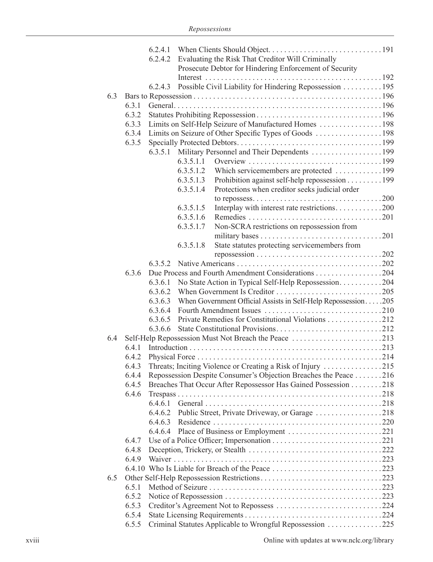|     |       | 6.2.4.2 Evaluating the Risk That Creditor Will Criminally                |  |
|-----|-------|--------------------------------------------------------------------------|--|
|     |       | Prosecute Debtor for Hindering Enforcement of Security                   |  |
|     |       |                                                                          |  |
|     |       | 6.2.4.3 Possible Civil Liability for Hindering Repossession 195          |  |
| 6.3 |       |                                                                          |  |
|     | 6.3.1 |                                                                          |  |
|     | 6.3.2 |                                                                          |  |
|     | 6.3.3 | Limits on Self-Help Seizure of Manufactured Homes 198                    |  |
|     | 6.3.4 |                                                                          |  |
|     | 6.3.5 |                                                                          |  |
|     |       |                                                                          |  |
|     |       | 6.3.5.1.1                                                                |  |
|     |       | 6.3.5.1.2<br>Which servicemembers are protected 199                      |  |
|     |       | Prohibition against self-help repossession 199<br>6.3.5.1.3              |  |
|     |       | Protections when creditor seeks judicial order<br>6.3.5.1.4              |  |
|     |       |                                                                          |  |
|     |       | Interplay with interest rate restrictions200<br>6.3.5.1.5                |  |
|     |       | 6.3.5.1.6                                                                |  |
|     |       | Non-SCRA restrictions on repossession from<br>6.3.5.1.7                  |  |
|     |       |                                                                          |  |
|     |       | State statutes protecting servicemembers from<br>6.3.5.1.8               |  |
|     |       |                                                                          |  |
|     |       |                                                                          |  |
|     | 6.3.6 | Due Process and Fourth Amendment Considerations 204                      |  |
|     |       | No State Action in Typical Self-Help Repossession204<br>6.3.6.1          |  |
|     |       | 6.3.6.2                                                                  |  |
|     |       | When Government Official Assists in Self-Help Repossession205<br>6.3.6.3 |  |
|     |       | 6.3.6.4                                                                  |  |
|     |       | 6.3.6.5 Private Remedies for Constitutional Violations 212               |  |
|     |       | 6.3.6.6                                                                  |  |
| 6.4 |       | Self-Help Repossession Must Not Breach the Peace 213                     |  |
|     | 6.4.1 |                                                                          |  |
|     | 6.4.2 |                                                                          |  |
|     | 6.4.3 | Threats; Inciting Violence or Creating a Risk of Injury 215              |  |
|     | 6.4.4 | Repossession Despite Consumer's Objection Breaches the Peace 216         |  |
|     | 6.4.5 | Breaches That Occur After Repossessor Has Gained Possession 218          |  |
|     | 6.4.6 |                                                                          |  |
|     |       |                                                                          |  |
|     |       | Public Street, Private Driveway, or Garage 218<br>6.4.6.2                |  |
|     |       | 6.4.6.3                                                                  |  |
|     |       | 6.4.6.4                                                                  |  |
|     | 6.4.7 |                                                                          |  |
|     | 6.4.8 |                                                                          |  |
|     | 6.4.9 |                                                                          |  |
|     |       |                                                                          |  |
| 6.5 |       |                                                                          |  |
|     | 6.5.1 |                                                                          |  |
|     | 6.5.2 |                                                                          |  |
|     | 6.5.3 |                                                                          |  |
|     | 6.5.4 |                                                                          |  |
|     | 6.5.5 | Criminal Statutes Applicable to Wrongful Repossession 225                |  |
|     |       |                                                                          |  |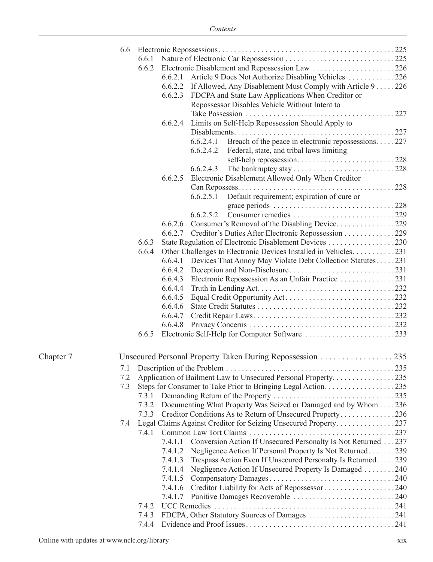|           | 6.6 |       |         |                                                                     |  |
|-----------|-----|-------|---------|---------------------------------------------------------------------|--|
|           |     | 6.6.1 |         |                                                                     |  |
|           |     | 6.6.2 |         | Electronic Disablement and Repossession Law 226                     |  |
|           |     |       | 6.6.2.1 | Article 9 Does Not Authorize Disabling Vehicles 226                 |  |
|           |     |       |         | 6.6.2.2 If Allowed, Any Disablement Must Comply with Article 9 226  |  |
|           |     |       | 6.6.2.3 | FDCPA and State Law Applications When Creditor or                   |  |
|           |     |       |         | Repossessor Disables Vehicle Without Intent to                      |  |
|           |     |       |         |                                                                     |  |
|           |     |       | 6.6.2.4 | Limits on Self-Help Repossession Should Apply to                    |  |
|           |     |       |         |                                                                     |  |
|           |     |       |         | Breach of the peace in electronic repossessions227<br>6.6.2.4.1     |  |
|           |     |       |         | 6.6.2.4.2<br>Federal, state, and tribal laws limiting               |  |
|           |     |       |         |                                                                     |  |
|           |     |       |         | 6.6.2.4.3                                                           |  |
|           |     |       | 6.6.2.5 | Electronic Disablement Allowed Only When Creditor                   |  |
|           |     |       |         |                                                                     |  |
|           |     |       |         | Default requirement; expiration of cure or<br>6.6.2.5.1             |  |
|           |     |       |         | grace periods 228                                                   |  |
|           |     |       |         | 6.6.2.5.2                                                           |  |
|           |     |       | 6.6.2.6 | Consumer's Removal of the Disabling Device229                       |  |
|           |     |       |         | 6.6.2.7 Creditor's Duties After Electronic Repossession 229         |  |
|           |     | 6.6.3 |         | State Regulation of Electronic Disablement Devices 230              |  |
|           |     | 6.6.4 |         | Other Challenges to Electronic Devices Installed in Vehicles. 231   |  |
|           |     |       |         | 6.6.4.1 Devices That Annoy May Violate Debt Collection Statutes231  |  |
|           |     |       |         |                                                                     |  |
|           |     |       |         |                                                                     |  |
|           |     |       |         |                                                                     |  |
|           |     |       | 6.6.4.5 |                                                                     |  |
|           |     |       | 6.6.4.6 |                                                                     |  |
|           |     |       |         |                                                                     |  |
|           |     |       |         |                                                                     |  |
|           |     | 6.6.5 |         |                                                                     |  |
| Chapter 7 |     |       |         | Unsecured Personal Property Taken During Repossession 235           |  |
|           |     |       |         |                                                                     |  |
|           |     |       |         |                                                                     |  |
|           | 7.2 |       |         | Application of Bailment Law to Unsecured Personal Property235       |  |
|           | 7.3 |       |         | Steps for Consumer to Take Prior to Bringing Legal Action235        |  |
|           |     | 7.3.1 |         |                                                                     |  |
|           |     | 7.3.2 |         | Documenting What Property Was Seized or Damaged and by Whom 236     |  |
|           |     | 7.3.3 |         | Creditor Conditions As to Return of Unsecured Property236           |  |
|           | 7.4 |       |         | Legal Claims Against Creditor for Seizing Unsecured Property237     |  |
|           |     | 7.4.1 |         |                                                                     |  |
|           |     |       | 7.4.1.1 | Conversion Action If Unsecured Personalty Is Not Returned 237       |  |
|           |     |       | 7.4.1.2 | Negligence Action If Personal Property Is Not Returned239           |  |
|           |     |       |         | 7.4.1.3 Trespass Action Even If Unsecured Personalty Is Returned239 |  |
|           |     |       |         | 7.4.1.4 Negligence Action If Unsecured Property Is Damaged 240      |  |
|           |     |       |         |                                                                     |  |
|           |     |       |         |                                                                     |  |
|           |     |       |         |                                                                     |  |
|           |     | 7.4.2 |         |                                                                     |  |
|           |     | 7.4.3 |         | FDCPA, Other Statutory Sources of Damages 241                       |  |
|           |     | 7.4.4 |         |                                                                     |  |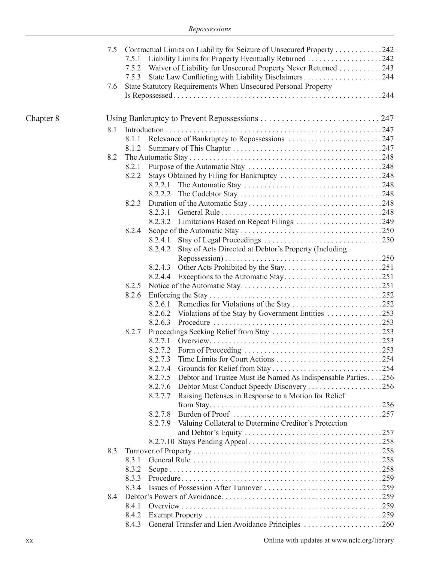|           | 7.5 |         | Contractual Limits on Liability for Seizure of Unsecured Property 242 |  |  |  |
|-----------|-----|---------|-----------------------------------------------------------------------|--|--|--|
|           |     | 7.5.1   |                                                                       |  |  |  |
|           |     | 7.5.2   | Waiver of Liability for Unsecured Property Never Returned 243         |  |  |  |
|           |     | 7.5.3   |                                                                       |  |  |  |
|           | 7.6 |         | State Statutory Requirements When Unsecured Personal Property         |  |  |  |
|           |     |         |                                                                       |  |  |  |
|           |     |         |                                                                       |  |  |  |
|           |     |         |                                                                       |  |  |  |
| Chapter 8 |     |         |                                                                       |  |  |  |
|           | 8.1 |         |                                                                       |  |  |  |
|           |     | 8.1.1   |                                                                       |  |  |  |
|           |     | 8.1.2   |                                                                       |  |  |  |
|           | 8.2 |         |                                                                       |  |  |  |
|           |     |         |                                                                       |  |  |  |
|           |     | 8.2.2   | Stays Obtained by Filing for Bankruptcy 248                           |  |  |  |
|           |     | 8.2.2.1 |                                                                       |  |  |  |
|           |     | 8.2.2.2 |                                                                       |  |  |  |
|           |     | 8.2.3   |                                                                       |  |  |  |
|           |     | 8.2.3.1 |                                                                       |  |  |  |
|           |     |         |                                                                       |  |  |  |
|           |     | 8.2.4   |                                                                       |  |  |  |
|           |     | 8.2.4.1 |                                                                       |  |  |  |
|           |     | 8.2.4.2 | Stay of Acts Directed at Debtor's Property (Including                 |  |  |  |
|           |     |         |                                                                       |  |  |  |
|           |     | 8.2.4.3 |                                                                       |  |  |  |
|           |     | 8.2.4.4 |                                                                       |  |  |  |
|           |     | 8.2.5   |                                                                       |  |  |  |
|           |     | 8.2.6   |                                                                       |  |  |  |
|           |     |         |                                                                       |  |  |  |
|           |     |         |                                                                       |  |  |  |
|           |     | 8.2.6.3 |                                                                       |  |  |  |
|           |     | 8.2.7   |                                                                       |  |  |  |
|           |     | 8.2.7.1 |                                                                       |  |  |  |
|           |     | 8.2.7.2 |                                                                       |  |  |  |
|           |     | 8.2.7.3 |                                                                       |  |  |  |
|           |     |         |                                                                       |  |  |  |
|           |     | 8.2.7.5 | Debtor and Trustee Must Be Named As Indispensable Parties256          |  |  |  |
|           |     | 8.2.7.6 | Debtor Must Conduct Speedy Discovery 256                              |  |  |  |
|           |     | 8.2.7.7 | Raising Defenses in Response to a Motion for Relief                   |  |  |  |
|           |     |         |                                                                       |  |  |  |
|           |     | 8.2.7.8 |                                                                       |  |  |  |
|           |     | 8.2.7.9 | Valuing Collateral to Determine Creditor's Protection                 |  |  |  |
|           |     |         |                                                                       |  |  |  |
|           |     |         |                                                                       |  |  |  |
|           | 8.3 |         |                                                                       |  |  |  |
|           |     | 8.3.1   |                                                                       |  |  |  |
|           |     | 8.3.2   |                                                                       |  |  |  |
|           |     | 8.3.3   |                                                                       |  |  |  |
|           |     | 8.3.4   |                                                                       |  |  |  |
|           | 8.4 |         |                                                                       |  |  |  |
|           |     | 8.4.1   |                                                                       |  |  |  |
|           |     | 8.4.2   |                                                                       |  |  |  |
|           |     | 8.4.3   | General Transfer and Lien Avoidance Principles 260                    |  |  |  |
|           |     |         |                                                                       |  |  |  |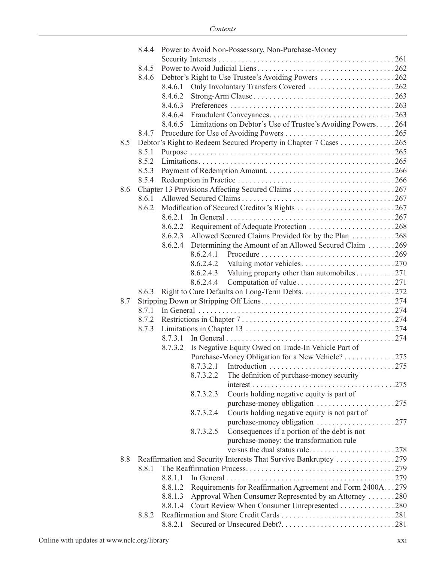|     | 8.4.4 | Power to Avoid Non-Possessory, Non-Purchase-Money                               |  |
|-----|-------|---------------------------------------------------------------------------------|--|
|     |       |                                                                                 |  |
|     | 8.4.5 |                                                                                 |  |
|     | 8.4.6 |                                                                                 |  |
|     |       | Only Involuntary Transfers Covered 262<br>8.4.6.1                               |  |
|     |       | 8.4.6.2                                                                         |  |
|     |       |                                                                                 |  |
|     |       |                                                                                 |  |
|     |       | 8.4.6.5 Limitations on Debtor's Use of Trustee's Avoiding Powers264             |  |
|     | 8.4.7 |                                                                                 |  |
| 8.5 |       | Debtor's Right to Redeem Secured Property in Chapter 7 Cases 265                |  |
|     | 8.5.1 |                                                                                 |  |
|     |       |                                                                                 |  |
|     | 8.5.2 |                                                                                 |  |
|     | 8.5.3 |                                                                                 |  |
|     | 8.5.4 |                                                                                 |  |
| 8.6 |       |                                                                                 |  |
|     | 8.6.1 |                                                                                 |  |
|     | 8.6.2 |                                                                                 |  |
|     |       | 8.6.2.1                                                                         |  |
|     |       |                                                                                 |  |
|     |       | 8.6.2.3 Allowed Secured Claims Provided for by the Plan 268                     |  |
|     |       | Determining the Amount of an Allowed Secured Claim 269<br>8.6.2.4               |  |
|     |       | 8.6.2.4.1                                                                       |  |
|     |       | 8.6.2.4.2                                                                       |  |
|     |       | Valuing property other than automobiles $\ldots \ldots \ldots 271$<br>8.6.2.4.3 |  |
|     |       | 8.6.2.4.4                                                                       |  |
|     | 8.6.3 |                                                                                 |  |
| 8.7 |       |                                                                                 |  |
|     | 8.7.1 |                                                                                 |  |
|     | 8.7.2 |                                                                                 |  |
|     | 8.7.3 |                                                                                 |  |
|     |       | 8.7.3.1                                                                         |  |
|     |       |                                                                                 |  |
|     |       | Is Negative Equity Owed on Trade-In Vehicle Part of<br>8.7.3.2                  |  |
|     |       | Purchase-Money Obligation for a New Vehicle? 275                                |  |
|     |       |                                                                                 |  |
|     |       | The definition of purchase-money security<br>8.7.3.2.2                          |  |
|     |       |                                                                                 |  |
|     |       | Courts holding negative equity is part of<br>8.7.3.2.3                          |  |
|     |       |                                                                                 |  |
|     |       | Courts holding negative equity is not part of<br>8.7.3.2.4                      |  |
|     |       | purchase-money obligation 277                                                   |  |
|     |       | Consequences if a portion of the debt is not<br>8.7.3.2.5                       |  |
|     |       | purchase-money: the transformation rule                                         |  |
|     |       | versus the dual status rule278                                                  |  |
| 8.8 |       | Reaffirmation and Security Interests That Survive Bankruptcy 279                |  |
|     | 8.8.1 |                                                                                 |  |
|     |       |                                                                                 |  |
|     |       | Requirements for Reaffirmation Agreement and Form 2400A279<br>8.8.1.2           |  |
|     |       | Approval When Consumer Represented by an Attorney 280<br>8.8.1.3                |  |
|     |       | Court Review When Consumer Unrepresented 280<br>8.8.1.4                         |  |
|     | 8.8.2 |                                                                                 |  |
|     |       | 8.8.2.1                                                                         |  |
|     |       |                                                                                 |  |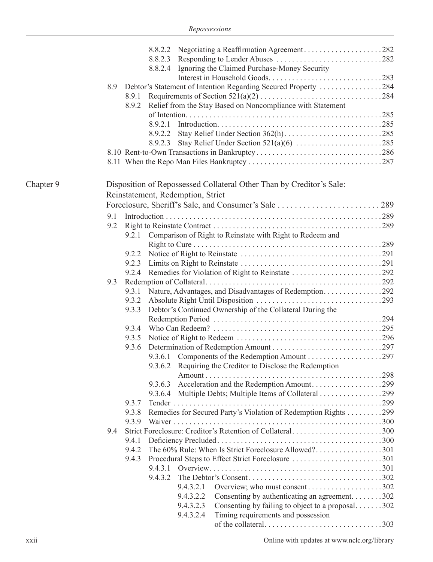|           |     |         | 8.8.2.4 Ignoring the Claimed Purchase-Money Security                 |  |
|-----------|-----|---------|----------------------------------------------------------------------|--|
|           |     |         |                                                                      |  |
|           | 8.9 |         | Debtor's Statement of Intention Regarding Secured Property 284       |  |
|           |     | 8.9.1   |                                                                      |  |
|           |     | 8.9.2   | Relief from the Stay Based on Noncompliance with Statement           |  |
|           |     |         |                                                                      |  |
|           |     |         |                                                                      |  |
|           |     |         |                                                                      |  |
|           |     |         |                                                                      |  |
|           |     |         |                                                                      |  |
|           |     |         |                                                                      |  |
| Chapter 9 |     |         | Disposition of Repossessed Collateral Other Than by Creditor's Sale: |  |
|           |     |         | Reinstatement, Redemption, Strict                                    |  |
|           |     |         |                                                                      |  |
|           |     |         |                                                                      |  |
|           | 9.1 |         |                                                                      |  |
|           | 9.2 |         |                                                                      |  |
|           |     | 9.2.1   | Comparison of Right to Reinstate with Right to Redeem and            |  |
|           |     |         |                                                                      |  |
|           |     | 9.2.2   |                                                                      |  |
|           |     | 9.2.3   |                                                                      |  |
|           |     | 9.2.4   |                                                                      |  |
|           | 9.3 |         |                                                                      |  |
|           |     | 9.3.1   |                                                                      |  |
|           |     | 9.3.2   |                                                                      |  |
|           |     | 9.3.3   | Debtor's Continued Ownership of the Collateral During the            |  |
|           |     |         |                                                                      |  |
|           |     | 9.3.4   |                                                                      |  |
|           |     | 9.3.5   |                                                                      |  |
|           |     | 9.3.6   |                                                                      |  |
|           |     |         |                                                                      |  |
|           |     |         | 9.3.6.2 Requiring the Creditor to Disclose the Redemption            |  |
|           |     |         |                                                                      |  |
|           |     | 9.3.6.3 | Acceleration and the Redemption Amount299                            |  |
|           |     |         | 9.3.6.4 Multiple Debts; Multiple Items of Collateral 299             |  |
|           |     | 9.3.7   |                                                                      |  |
|           |     | 9.3.8   | Remedies for Secured Party's Violation of Redemption Rights 299      |  |
|           |     | 9.3.9   |                                                                      |  |
|           | 9.4 |         | Strict Foreclosure: Creditor's Retention of Collateral300            |  |
|           |     | 9.4.1   |                                                                      |  |
|           |     | 9.4.2   | The 60% Rule: When Is Strict Foreclosure Allowed?301                 |  |
|           |     | 9.4.3   |                                                                      |  |
|           |     |         |                                                                      |  |
|           |     |         |                                                                      |  |
|           |     |         | Overview; who must consent302<br>9.4.3.2.1                           |  |
|           |     |         | 9.4.3.2.2<br>Consenting by authenticating an agreement302            |  |
|           |     |         | 9.4.3.2.3<br>Consenting by failing to object to a proposal302        |  |
|           |     |         | 9.4.3.2.4<br>Timing requirements and possession                      |  |
|           |     |         |                                                                      |  |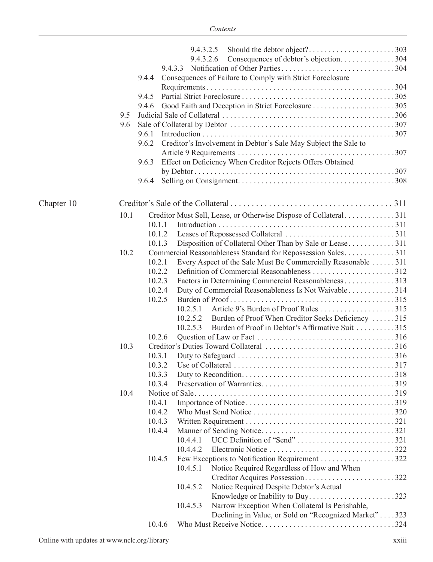|            |      |                  | 9.4.3.2.5 |                                                                  |  |  |  |  |  |
|------------|------|------------------|-----------|------------------------------------------------------------------|--|--|--|--|--|
|            |      |                  | 9.4.3.2.6 | Consequences of debtor's objection304                            |  |  |  |  |  |
|            |      |                  | 9.4.3.3   |                                                                  |  |  |  |  |  |
|            |      | 9.4.4            |           | Consequences of Failure to Comply with Strict Foreclosure        |  |  |  |  |  |
|            |      |                  |           |                                                                  |  |  |  |  |  |
|            |      | 9.4.5            |           |                                                                  |  |  |  |  |  |
|            |      | 9.4.6            |           |                                                                  |  |  |  |  |  |
|            | 9.5  |                  |           |                                                                  |  |  |  |  |  |
|            | 9.6  |                  |           |                                                                  |  |  |  |  |  |
|            |      | 9.6.1            |           |                                                                  |  |  |  |  |  |
|            |      | 9.6.2            |           | Creditor's Involvement in Debtor's Sale May Subject the Sale to  |  |  |  |  |  |
|            |      |                  |           |                                                                  |  |  |  |  |  |
|            |      | 9.6.3            |           | Effect on Deficiency When Creditor Rejects Offers Obtained       |  |  |  |  |  |
|            |      |                  |           |                                                                  |  |  |  |  |  |
|            |      | 9.6.4            |           |                                                                  |  |  |  |  |  |
| Chapter 10 |      |                  |           |                                                                  |  |  |  |  |  |
|            | 10.1 |                  |           | Creditor Must Sell, Lease, or Otherwise Dispose of Collateral311 |  |  |  |  |  |
|            |      | 10.1.1           |           |                                                                  |  |  |  |  |  |
|            |      | 10.1.2           |           |                                                                  |  |  |  |  |  |
|            |      | 10.1.3           |           | Disposition of Collateral Other Than by Sale or Lease311         |  |  |  |  |  |
|            | 10.2 |                  |           | Commercial Reasonableness Standard for Repossession Sales311     |  |  |  |  |  |
|            |      | 10.2.1           |           | Every Aspect of the Sale Must Be Commercially Reasonable 311     |  |  |  |  |  |
|            |      | 10.2.2           |           |                                                                  |  |  |  |  |  |
|            |      | 10.2.3           |           | Factors in Determining Commercial Reasonableness 313             |  |  |  |  |  |
|            |      | 10.2.4           |           | Duty of Commercial Reasonableness Is Not Waivable314             |  |  |  |  |  |
|            |      | 10.2.5           |           |                                                                  |  |  |  |  |  |
|            |      |                  | 10.2.5.1  |                                                                  |  |  |  |  |  |
|            |      |                  |           | 10.2.5.2 Burden of Proof When Creditor Seeks Deficiency 315      |  |  |  |  |  |
|            |      |                  | 10.2.5.3  | Burden of Proof in Debtor's Affirmative Suit 315                 |  |  |  |  |  |
|            |      | 10.2.6           |           |                                                                  |  |  |  |  |  |
|            | 10.3 |                  |           |                                                                  |  |  |  |  |  |
|            |      | 10.3.1           |           |                                                                  |  |  |  |  |  |
|            |      |                  |           |                                                                  |  |  |  |  |  |
|            |      | 10.3.3<br>10.3.4 |           |                                                                  |  |  |  |  |  |
|            | 10.4 |                  |           |                                                                  |  |  |  |  |  |
|            |      | 10.4.1           |           |                                                                  |  |  |  |  |  |
|            |      | 10.4.2           |           |                                                                  |  |  |  |  |  |
|            |      | 10.4.3           |           |                                                                  |  |  |  |  |  |
|            |      | 10.4.4           |           |                                                                  |  |  |  |  |  |
|            |      |                  | 10.4.4.1  | UCC Definition of "Send" 321                                     |  |  |  |  |  |
|            |      |                  | 10.4.4.2  |                                                                  |  |  |  |  |  |
|            |      | 10.4.5           |           |                                                                  |  |  |  |  |  |
|            |      |                  | 10.4.5.1  | Notice Required Regardless of How and When                       |  |  |  |  |  |
|            |      |                  |           | Creditor Acquires Possession322                                  |  |  |  |  |  |
|            |      |                  | 10.4.5.2  | Notice Required Despite Debtor's Actual                          |  |  |  |  |  |
|            |      |                  |           | Knowledge or Inability to Buy323                                 |  |  |  |  |  |
|            |      |                  | 10.4.5.3  | Narrow Exception When Collateral Is Perishable,                  |  |  |  |  |  |
|            |      |                  |           | Declining in Value, or Sold on "Recognized Market"323            |  |  |  |  |  |
|            |      | 10.4.6           |           |                                                                  |  |  |  |  |  |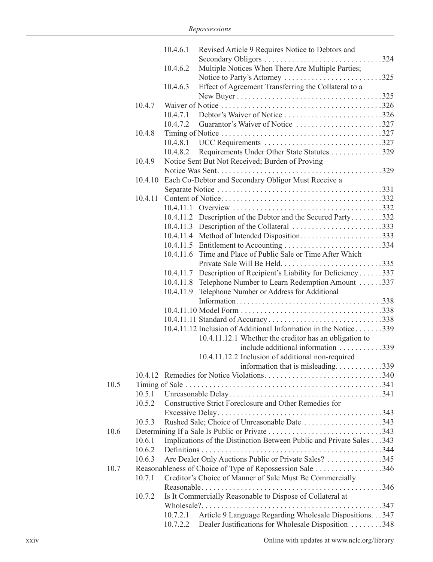|      |         | 10.4.6.1  | Revised Article 9 Requires Notice to Debtors and                     |
|------|---------|-----------|----------------------------------------------------------------------|
|      |         |           | Secondary Obligors 324                                               |
|      |         | 10.4.6.2  | Multiple Notices When There Are Multiple Parties;                    |
|      |         |           | Notice to Party's Attorney 325                                       |
|      |         | 10.4.6.3  | Effect of Agreement Transferring the Collateral to a                 |
|      |         |           |                                                                      |
|      | 10.4.7  |           |                                                                      |
|      |         | 10.4.7.1  | Debtor's Waiver of Notice 326                                        |
|      |         | 10.4.7.2  |                                                                      |
|      | 10.4.8  |           |                                                                      |
|      |         |           |                                                                      |
|      |         | 10.4.8.2  | Requirements Under Other State Statutes 329                          |
|      | 10.4.9  |           | Notice Sent But Not Received; Burden of Proving                      |
|      |         |           |                                                                      |
|      | 10.4.10 |           | Each Co-Debtor and Secondary Obligor Must Receive a                  |
|      |         |           |                                                                      |
|      | 10.4.11 |           |                                                                      |
|      |         |           |                                                                      |
|      |         |           | 10.4.11.2 Description of the Debtor and the Secured Party332         |
|      |         |           |                                                                      |
|      |         |           |                                                                      |
|      |         |           |                                                                      |
|      |         |           | 10.4.11.6 Time and Place of Public Sale or Time After Which          |
|      |         |           |                                                                      |
|      |         |           | 10.4.11.7 Description of Recipient's Liability for Deficiency337     |
|      |         |           | 10.4.11.8 Telephone Number to Learn Redemption Amount 337            |
|      |         | 10.4.11.9 | Telephone Number or Address for Additional                           |
|      |         |           |                                                                      |
|      |         |           |                                                                      |
|      |         |           |                                                                      |
|      |         |           | 10.4.11.12 Inclusion of Additional Information in the Notice339      |
|      |         |           | 10.4.11.12.1 Whether the creditor has an obligation to               |
|      |         |           | include additional information 339                                   |
|      |         |           | 10.4.11.12.2 Inclusion of additional non-required                    |
|      |         |           | .339<br>information that is misleading                               |
|      |         |           |                                                                      |
| 10.5 |         |           |                                                                      |
|      | 10.5.1  |           |                                                                      |
|      | 10.5.2  |           | Constructive Strict Foreclosure and Other Remedies for               |
|      |         |           |                                                                      |
|      | 10.5.3  |           | Rushed Sale; Choice of Unreasonable Date 343                         |
| 10.6 |         |           |                                                                      |
|      | 10.6.1  |           | Implications of the Distinction Between Public and Private Sales 343 |
|      | 10.6.2  |           |                                                                      |
|      | 10.6.3  |           | Are Dealer Only Auctions Public or Private Sales? 345                |
| 10.7 |         |           | Reasonableness of Choice of Type of Repossession Sale 346            |
|      | 10.7.1  |           | Creditor's Choice of Manner of Sale Must Be Commercially             |
|      |         |           |                                                                      |
|      | 10.7.2  |           | Is It Commercially Reasonable to Dispose of Collateral at            |
|      |         |           |                                                                      |
|      |         | 10.7.2.1  | Article 9 Language Regarding Wholesale Dispositions. 347             |
|      |         | 10.7.2.2  | Dealer Justifications for Wholesale Disposition 348                  |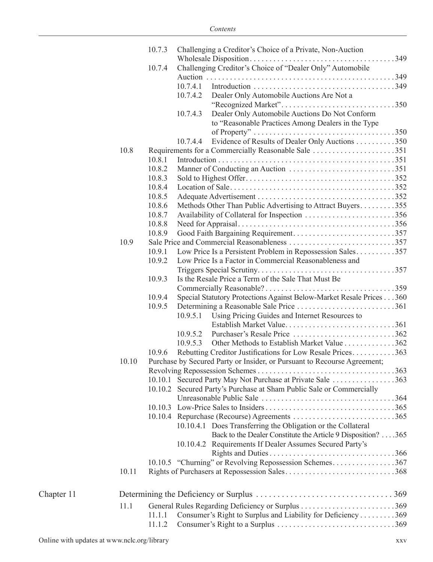|            |       | 10.7.3 |          | Challenging a Creditor's Choice of a Private, Non-Auction                                            |  |
|------------|-------|--------|----------|------------------------------------------------------------------------------------------------------|--|
|            |       |        |          |                                                                                                      |  |
|            |       | 10.7.4 |          | Challenging Creditor's Choice of "Dealer Only" Automobile                                            |  |
|            |       |        |          |                                                                                                      |  |
|            |       |        | 10.7.4.1 |                                                                                                      |  |
|            |       |        | 10.7.4.2 | Dealer Only Automobile Auctions Are Not a                                                            |  |
|            |       |        |          |                                                                                                      |  |
|            |       |        | 10.7.4.3 | Dealer Only Automobile Auctions Do Not Conform<br>to "Reasonable Practices Among Dealers in the Type |  |
|            |       |        |          |                                                                                                      |  |
|            |       |        | 10.7.4.4 | Evidence of Results of Dealer Only Auctions 350                                                      |  |
|            | 10.8  |        |          |                                                                                                      |  |
|            |       | 10.8.1 |          |                                                                                                      |  |
|            |       | 10.8.2 |          |                                                                                                      |  |
|            |       | 10.8.3 |          |                                                                                                      |  |
|            |       | 10.8.4 |          |                                                                                                      |  |
|            |       | 10.8.5 |          |                                                                                                      |  |
|            |       | 10.8.6 |          | Methods Other Than Public Advertising to Attract Buyers355                                           |  |
|            |       | 10.8.7 |          | Availability of Collateral for Inspection 356                                                        |  |
|            |       | 10.8.8 |          |                                                                                                      |  |
|            |       | 10.8.9 |          |                                                                                                      |  |
|            | 10.9  |        |          |                                                                                                      |  |
|            |       | 10.9.1 |          | Low Price Is a Persistent Problem in Repossession Sales357                                           |  |
|            |       | 10.9.2 |          | Low Price Is a Factor in Commercial Reasonableness and                                               |  |
|            |       |        |          |                                                                                                      |  |
|            |       | 10.9.3 |          | Is the Resale Price a Term of the Sale That Must Be                                                  |  |
|            |       |        |          |                                                                                                      |  |
|            |       | 10.9.4 |          | Special Statutory Protections Against Below-Market Resale Prices 360                                 |  |
|            |       | 10.9.5 |          |                                                                                                      |  |
|            |       |        | 10.9.5.1 | Using Pricing Guides and Internet Resources to                                                       |  |
|            |       |        |          | Establish Market Value361                                                                            |  |
|            |       |        | 10.9.5.2 | Purchaser's Resale Price 362                                                                         |  |
|            |       |        | 10.9.5.3 | Other Methods to Establish Market Value 362                                                          |  |
|            |       | 10.9.6 |          | Rebutting Creditor Justifications for Low Resale Prices363                                           |  |
|            | 10.10 |        |          | Purchase by Secured Party or Insider, or Pursuant to Recourse Agreement;                             |  |
|            |       |        |          |                                                                                                      |  |
|            |       |        |          | 10.10.1 Secured Party May Not Purchase at Private Sale 363                                           |  |
|            |       |        |          | 10.10.2 Secured Party's Purchase at Sham Public Sale or Commercially                                 |  |
|            |       |        |          |                                                                                                      |  |
|            |       |        |          |                                                                                                      |  |
|            |       |        |          |                                                                                                      |  |
|            |       |        |          | 10.10.4.1 Does Transferring the Obligation or the Collateral                                         |  |
|            |       |        |          | Back to the Dealer Constitute the Article 9 Disposition? 365                                         |  |
|            |       |        |          | 10.10.4.2 Requirements If Dealer Assumes Secured Party's                                             |  |
|            |       |        |          |                                                                                                      |  |
|            |       |        |          | 10.10.5 "Churning" or Revolving Repossession Schemes367                                              |  |
|            | 10.11 |        |          | Rights of Purchasers at Repossession Sales368                                                        |  |
| Chapter 11 |       |        |          |                                                                                                      |  |
|            | 11.1  |        |          |                                                                                                      |  |
|            |       | 11.1.1 |          | Consumer's Right to Surplus and Liability for Deficiency 369                                         |  |
|            |       | 11.1.2 |          |                                                                                                      |  |
|            |       |        |          |                                                                                                      |  |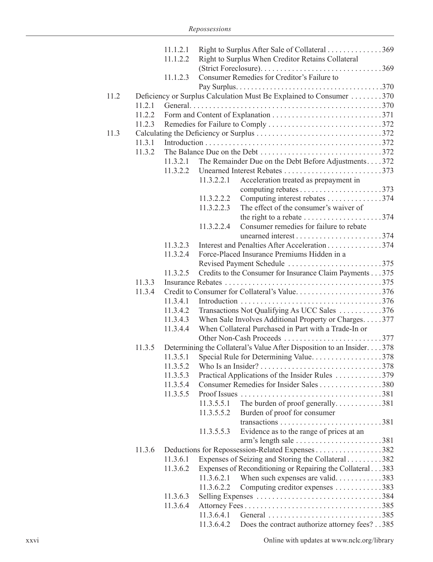|      |        | 11.1.2.1             |            | Right to Surplus After Sale of Collateral 369                                              |
|------|--------|----------------------|------------|--------------------------------------------------------------------------------------------|
|      |        | 11.1.2.2             |            | Right to Surplus When Creditor Retains Collateral                                          |
|      |        |                      |            |                                                                                            |
|      |        | 11.1.2.3             |            | Consumer Remedies for Creditor's Failure to                                                |
|      |        |                      |            |                                                                                            |
| 11.2 |        |                      |            | Deficiency or Surplus Calculation Must Be Explained to Consumer 370                        |
|      | 11.2.1 |                      |            |                                                                                            |
|      | 11.2.2 |                      |            |                                                                                            |
|      | 11.2.3 |                      |            |                                                                                            |
| 11.3 |        |                      |            |                                                                                            |
|      | 11.3.1 |                      |            |                                                                                            |
|      | 11.3.2 |                      |            |                                                                                            |
|      |        | 11.3.2.1<br>11.3.2.2 |            | The Remainder Due on the Debt Before Adjustments372                                        |
|      |        |                      | 11.3.2.2.1 | Acceleration treated as prepayment in                                                      |
|      |        |                      |            |                                                                                            |
|      |        |                      | 11.3.2.2.2 | Computing interest rebates 374                                                             |
|      |        |                      | 11.3.2.2.3 | The effect of the consumer's waiver of                                                     |
|      |        |                      |            | the right to a rebate $\dots \dots \dots \dots \dots \dots \dots 374$                      |
|      |        |                      | 11.3.2.2.4 | Consumer remedies for failure to rebate                                                    |
|      |        |                      |            | unearned interest374                                                                       |
|      |        | 11.3.2.3             |            | Interest and Penalties After Acceleration 374                                              |
|      |        | 11.3.2.4             |            | Force-Placed Insurance Premiums Hidden in a                                                |
|      |        |                      |            | Revised Payment Schedule 375                                                               |
|      |        | 11.3.2.5             |            | Credits to the Consumer for Insurance Claim Payments 375                                   |
|      | 11.3.3 |                      |            |                                                                                            |
|      | 11.3.4 |                      |            | Credit to Consumer for Collateral's Value376                                               |
|      |        | 11.3.4.1             |            |                                                                                            |
|      |        | 11.3.4.2             |            | Transactions Not Qualifying As UCC Sales 376                                               |
|      |        | 11.3.4.3             |            | When Sale Involves Additional Property or Charges377                                       |
|      |        | 11.3.4.4             |            | When Collateral Purchased in Part with a Trade-In or                                       |
|      |        |                      |            |                                                                                            |
|      | 11.3.5 |                      |            | Determining the Collateral's Value After Disposition to an Insider. 378                    |
|      |        | 11.3.5.1             |            | Special Rule for Determining Value378                                                      |
|      |        |                      |            |                                                                                            |
|      |        | 11.3.5.3<br>11.3.5.4 |            | Practical Applications of the Insider Rules 379<br>Consumer Remedies for Insider Sales 380 |
|      |        | 11.3.5.5             |            |                                                                                            |
|      |        |                      | 11.3.5.5.1 | The burden of proof generally381                                                           |
|      |        |                      | 11.3.5.5.2 | Burden of proof for consumer                                                               |
|      |        |                      |            |                                                                                            |
|      |        |                      | 11.3.5.5.3 | Evidence as to the range of prices at an                                                   |
|      |        |                      |            | $arm's length sale \ldots \ldots \ldots \ldots \ldots \ldots 381$                          |
|      | 11.3.6 |                      |            |                                                                                            |
|      |        | 11.3.6.1             |            | Expenses of Seizing and Storing the Collateral 382                                         |
|      |        | 11.3.6.2             |            | Expenses of Reconditioning or Repairing the Collateral383                                  |
|      |        |                      | 11.3.6.2.1 | When such expenses are valid383                                                            |
|      |        |                      | 11.3.6.2.2 | Computing creditor expenses 383                                                            |
|      |        | 11.3.6.3             |            |                                                                                            |
|      |        | 11.3.6.4             |            |                                                                                            |
|      |        |                      | 11.3.6.4.1 |                                                                                            |
|      |        |                      | 11.3.6.4.2 | Does the contract authorize attorney fees?385                                              |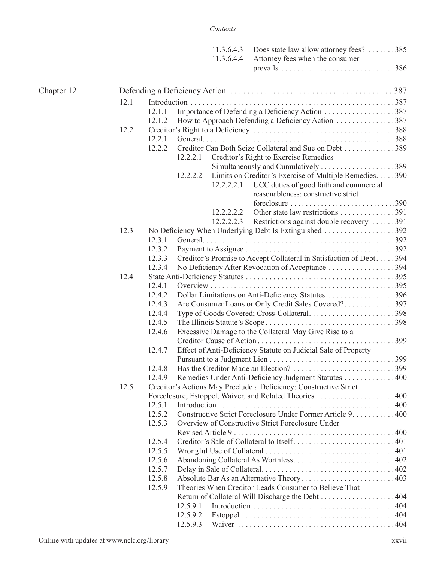|            |      |                  |          | 11.3.6.4.3<br>11.3.6.4.4 | Does state law allow attorney fees? 385<br>Attorney fees when the consumer |  |  |  |
|------------|------|------------------|----------|--------------------------|----------------------------------------------------------------------------|--|--|--|
| Chapter 12 |      |                  |          |                          |                                                                            |  |  |  |
|            | 12.1 |                  |          |                          |                                                                            |  |  |  |
|            |      | 12.1.1           |          |                          | Importance of Defending a Deficiency Action 387                            |  |  |  |
|            |      | 12.1.2           |          |                          | How to Approach Defending a Deficiency Action 387                          |  |  |  |
|            | 12.2 |                  |          |                          |                                                                            |  |  |  |
|            |      | 12.2.1           |          |                          |                                                                            |  |  |  |
|            |      | 12.2.2           |          |                          | Creditor Can Both Seize Collateral and Sue on Debt 389                     |  |  |  |
|            |      |                  | 12.2.2.1 |                          | Creditor's Right to Exercise Remedies                                      |  |  |  |
|            |      |                  |          |                          |                                                                            |  |  |  |
|            |      |                  | 12.2.2.2 |                          | Limits on Creditor's Exercise of Multiple Remedies. 390                    |  |  |  |
|            |      |                  |          | 12.2.2.2.1               | UCC duties of good faith and commercial                                    |  |  |  |
|            |      |                  |          |                          | reasonableness; constructive strict                                        |  |  |  |
|            |      |                  |          |                          | foreclosure $\ldots \ldots \ldots \ldots \ldots \ldots \ldots \ldots 390$  |  |  |  |
|            |      |                  |          | 12.2.2.2.2               | Other state law restrictions 391                                           |  |  |  |
|            |      |                  |          | 12.2.2.2.3               | Restrictions against double recovery 391                                   |  |  |  |
|            | 12.3 |                  |          |                          | No Deficiency When Underlying Debt Is Extinguished 392                     |  |  |  |
|            |      | 12.3.1           |          |                          |                                                                            |  |  |  |
|            |      | 12.3.2           |          |                          |                                                                            |  |  |  |
|            |      | 12.3.3           |          |                          | Creditor's Promise to Accept Collateral in Satisfaction of Debt394         |  |  |  |
|            |      | 12.3.4           |          |                          | No Deficiency After Revocation of Acceptance 394                           |  |  |  |
|            | 12.4 |                  |          |                          |                                                                            |  |  |  |
|            |      | 12.4.1           |          |                          |                                                                            |  |  |  |
|            |      | 12.4.2           |          |                          | Dollar Limitations on Anti-Deficiency Statutes 396                         |  |  |  |
|            |      | 12.4.3           |          |                          | Are Consumer Loans or Only Credit Sales Covered?397                        |  |  |  |
|            |      | 12.4.4<br>12.4.5 |          |                          | Type of Goods Covered; Cross-Collateral398                                 |  |  |  |
|            |      | 12.4.6           |          |                          | Excessive Damage to the Collateral May Give Rise to a                      |  |  |  |
|            |      |                  |          |                          |                                                                            |  |  |  |
|            |      | 12.4.7           |          |                          | Effect of Anti-Deficiency Statute on Judicial Sale of Property             |  |  |  |
|            |      |                  |          |                          |                                                                            |  |  |  |
|            |      | 12.4.8           |          |                          |                                                                            |  |  |  |
|            |      | 12.4.9           |          |                          | Remedies Under Anti-Deficiency Judgment Statutes 400                       |  |  |  |
|            | 12.5 |                  |          |                          | Creditor's Actions May Preclude a Deficiency: Constructive Strict          |  |  |  |
|            |      |                  |          |                          |                                                                            |  |  |  |
|            |      | 12.5.1           |          |                          |                                                                            |  |  |  |
|            |      | 12.5.2           |          |                          | Constructive Strict Foreclosure Under Former Article 9. 400                |  |  |  |
|            |      | 12.5.3           |          |                          | Overview of Constructive Strict Foreclosure Under                          |  |  |  |
|            |      |                  |          |                          |                                                                            |  |  |  |
|            |      | 12.5.4           |          |                          |                                                                            |  |  |  |
|            |      | 12.5.5           |          |                          |                                                                            |  |  |  |
|            |      | 12.5.6           |          |                          |                                                                            |  |  |  |
|            |      | 12.5.7           |          |                          |                                                                            |  |  |  |
|            |      | 12.5.8           |          |                          | Absolute Bar As an Alternative Theory403                                   |  |  |  |
|            |      | 12.5.9           |          |                          | Theories When Creditor Leads Consumer to Believe That                      |  |  |  |
|            |      |                  |          |                          | Return of Collateral Will Discharge the Debt 404                           |  |  |  |
|            |      |                  | 12.5.9.1 |                          |                                                                            |  |  |  |
|            |      |                  | 12.5.9.2 |                          |                                                                            |  |  |  |
|            |      |                  | 12.5.9.3 |                          |                                                                            |  |  |  |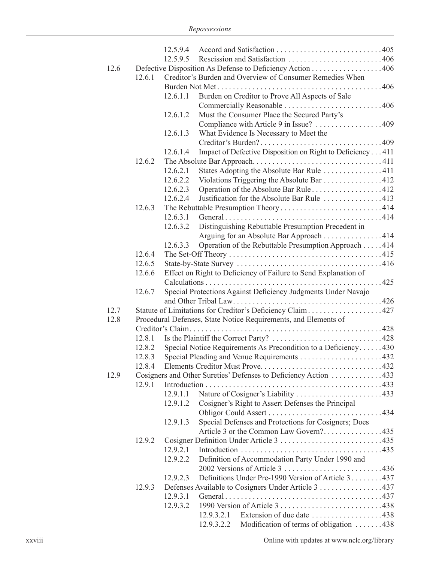|      |        | 12.5.9.4                                                        |                                                                             |  |  |  |  |  |  |  |  |
|------|--------|-----------------------------------------------------------------|-----------------------------------------------------------------------------|--|--|--|--|--|--|--|--|
|      |        | 12.5.9.5                                                        | Rescission and Satisfaction 406                                             |  |  |  |  |  |  |  |  |
| 12.6 |        |                                                                 | Defective Disposition As Defense to Deficiency Action 406                   |  |  |  |  |  |  |  |  |
|      | 12.6.1 | Creditor's Burden and Overview of Consumer Remedies When        |                                                                             |  |  |  |  |  |  |  |  |
|      |        |                                                                 |                                                                             |  |  |  |  |  |  |  |  |
|      |        | 12.6.1.1                                                        | Burden on Creditor to Prove All Aspects of Sale                             |  |  |  |  |  |  |  |  |
|      |        |                                                                 |                                                                             |  |  |  |  |  |  |  |  |
|      |        | 12.6.1.2                                                        | Must the Consumer Place the Secured Party's                                 |  |  |  |  |  |  |  |  |
|      |        |                                                                 | Compliance with Article 9 in Issue? 409                                     |  |  |  |  |  |  |  |  |
|      |        | 12.6.1.3                                                        | What Evidence Is Necessary to Meet the                                      |  |  |  |  |  |  |  |  |
|      |        |                                                                 |                                                                             |  |  |  |  |  |  |  |  |
|      |        | 12.6.1.4                                                        | Impact of Defective Disposition on Right to Deficiency411                   |  |  |  |  |  |  |  |  |
|      | 12.6.2 |                                                                 |                                                                             |  |  |  |  |  |  |  |  |
|      |        | 12.6.2.1                                                        | States Adopting the Absolute Bar Rule 411                                   |  |  |  |  |  |  |  |  |
|      |        | 12.6.2.2                                                        | Violations Triggering the Absolute Bar 412                                  |  |  |  |  |  |  |  |  |
|      |        | 12.6.2.3                                                        | Operation of the Absolute Bar Rule412                                       |  |  |  |  |  |  |  |  |
|      |        | 12.6.2.4                                                        | Justification for the Absolute Bar Rule 413                                 |  |  |  |  |  |  |  |  |
|      | 12.6.3 |                                                                 |                                                                             |  |  |  |  |  |  |  |  |
|      |        | 12.6.3.1                                                        |                                                                             |  |  |  |  |  |  |  |  |
|      |        | 12.6.3.2                                                        | Distinguishing Rebuttable Presumption Precedent in                          |  |  |  |  |  |  |  |  |
|      |        |                                                                 | Arguing for an Absolute Bar Approach 414                                    |  |  |  |  |  |  |  |  |
|      |        | 12.6.3.3                                                        | Operation of the Rebuttable Presumption Approach 414                        |  |  |  |  |  |  |  |  |
|      | 12.6.4 |                                                                 |                                                                             |  |  |  |  |  |  |  |  |
|      | 12.6.5 |                                                                 |                                                                             |  |  |  |  |  |  |  |  |
|      | 12.6.6 | Effect on Right to Deficiency of Failure to Send Explanation of |                                                                             |  |  |  |  |  |  |  |  |
|      |        |                                                                 |                                                                             |  |  |  |  |  |  |  |  |
|      | 12.6.7 |                                                                 | Special Protections Against Deficiency Judgments Under Navajo               |  |  |  |  |  |  |  |  |
|      |        |                                                                 |                                                                             |  |  |  |  |  |  |  |  |
| 12.7 |        |                                                                 | Statute of Limitations for Creditor's Deficiency Claim427                   |  |  |  |  |  |  |  |  |
| 12.8 |        |                                                                 |                                                                             |  |  |  |  |  |  |  |  |
|      |        | Procedural Defenses, State Notice Requirements, and Elements of |                                                                             |  |  |  |  |  |  |  |  |
|      | 12.8.1 |                                                                 |                                                                             |  |  |  |  |  |  |  |  |
|      | 12.8.2 |                                                                 |                                                                             |  |  |  |  |  |  |  |  |
|      | 12.8.3 | Special Notice Requirements As Precondition to a Deficiency430  |                                                                             |  |  |  |  |  |  |  |  |
|      | 1284   |                                                                 |                                                                             |  |  |  |  |  |  |  |  |
| 12.9 |        |                                                                 | Cosigners and Other Sureties' Defenses to Deficiency Action 433             |  |  |  |  |  |  |  |  |
|      | 12.9.1 |                                                                 | Introduction                                                                |  |  |  |  |  |  |  |  |
|      |        | 12.9.1.1                                                        |                                                                             |  |  |  |  |  |  |  |  |
|      |        | 12.9.1.2                                                        | Nature of Cosigner's Liability 433                                          |  |  |  |  |  |  |  |  |
|      |        |                                                                 | Cosigner's Right to Assert Defenses the Principal                           |  |  |  |  |  |  |  |  |
|      |        |                                                                 |                                                                             |  |  |  |  |  |  |  |  |
|      |        | 12.9.1.3                                                        | Special Defenses and Protections for Cosigners; Does                        |  |  |  |  |  |  |  |  |
|      |        |                                                                 | Article 3 or the Common Law Govern?435                                      |  |  |  |  |  |  |  |  |
|      | 12.9.2 |                                                                 |                                                                             |  |  |  |  |  |  |  |  |
|      |        | 12.9.2.1                                                        |                                                                             |  |  |  |  |  |  |  |  |
|      |        | 12.9.2.2                                                        | Definition of Accommodation Party Under 1990 and                            |  |  |  |  |  |  |  |  |
|      |        |                                                                 |                                                                             |  |  |  |  |  |  |  |  |
|      |        | 12.9.2.3                                                        | Definitions Under Pre-1990 Version of Article 3437                          |  |  |  |  |  |  |  |  |
|      | 12.9.3 |                                                                 | Defenses Available to Cosigners Under Article 3 437                         |  |  |  |  |  |  |  |  |
|      |        | 12.9.3.1                                                        |                                                                             |  |  |  |  |  |  |  |  |
|      |        | 12.9.3.2                                                        |                                                                             |  |  |  |  |  |  |  |  |
|      |        |                                                                 | 12.9.3.2.1 Extension of due date $\dots \dots \dots \dots \dots \dots$ .438 |  |  |  |  |  |  |  |  |
|      |        |                                                                 | Modification of terms of obligation 438<br>12.9.3.2.2                       |  |  |  |  |  |  |  |  |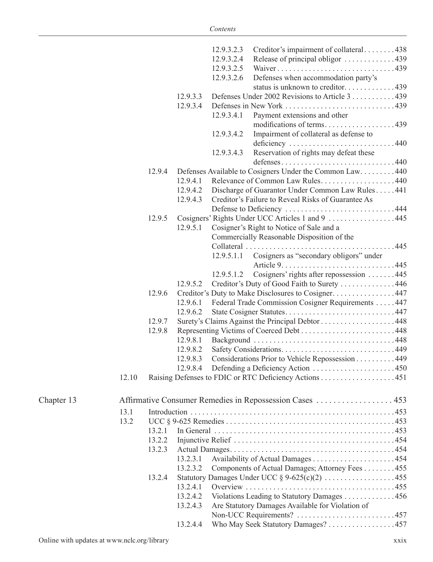|            |       |        |          | 12.9.3.2.3 | Creditor's impairment of collateral438                   |  |
|------------|-------|--------|----------|------------|----------------------------------------------------------|--|
|            |       |        |          | 12.9.3.2.4 | Release of principal obligor 439                         |  |
|            |       |        |          | 12.9.3.2.5 | Waiver439                                                |  |
|            |       |        |          | 12.9.3.2.6 | Defenses when accommodation party's                      |  |
|            |       |        |          |            | status is unknown to creditor439                         |  |
|            |       |        | 12.9.3.3 |            | Defenses Under 2002 Revisions to Article 3 439           |  |
|            |       |        | 12.9.3.4 |            |                                                          |  |
|            |       |        |          | 12.9.3.4.1 | Payment extensions and other                             |  |
|            |       |        |          |            | modifications of terms439                                |  |
|            |       |        |          | 12.9.3.4.2 | Impairment of collateral as defense to<br>deficiency 440 |  |
|            |       |        |          | 12.9.3.4.3 | Reservation of rights may defeat these<br>defenses440    |  |
|            |       | 12.9.4 |          |            | Defenses Available to Cosigners Under the Common Law440  |  |
|            |       |        | 12.9.4.1 |            | Relevance of Common Law Rules440                         |  |
|            |       |        | 12.9.4.2 |            | Discharge of Guarantor Under Common Law Rules441         |  |
|            |       |        | 12.9.4.3 |            | Creditor's Failure to Reveal Risks of Guarantee As       |  |
|            |       |        |          |            |                                                          |  |
|            |       | 12.9.5 |          |            | Cosigners' Rights Under UCC Articles 1 and 9 445         |  |
|            |       |        | 12.9.5.1 |            | Cosigner's Right to Notice of Sale and a                 |  |
|            |       |        |          |            | Commercially Reasonable Disposition of the               |  |
|            |       |        |          |            |                                                          |  |
|            |       |        |          | 12.9.5.1.1 | Cosigners as "secondary obligors" under                  |  |
|            |       |        |          | 12.9.5.1.2 | Cosigners' rights after repossession 445                 |  |
|            |       |        | 12.9.5.2 |            | Creditor's Duty of Good Faith to Surety 446              |  |
|            |       | 12.9.6 |          |            | Creditor's Duty to Make Disclosures to Cosigner447       |  |
|            |       |        | 12.9.6.1 |            | Federal Trade Commission Cosigner Requirements 447       |  |
|            |       |        | 12.9.6.2 |            |                                                          |  |
|            |       | 12.9.7 |          |            | Surety's Claims Against the Principal Debtor 448         |  |
|            |       | 12.9.8 |          |            |                                                          |  |
|            |       |        | 12.9.8.1 |            |                                                          |  |
|            |       |        | 12.9.8.2 |            |                                                          |  |
|            |       |        | 12.9.8.3 |            | Considerations Prior to Vehicle Repossession 449         |  |
|            |       |        |          |            |                                                          |  |
|            | 12.10 |        |          |            |                                                          |  |
| Chapter 13 |       |        |          |            |                                                          |  |
|            | 13.1  |        |          |            |                                                          |  |
|            | 13.2  |        |          |            |                                                          |  |
|            |       | 13.2.1 |          |            |                                                          |  |
|            |       | 13.2.2 |          |            |                                                          |  |
|            |       | 13.2.3 |          |            |                                                          |  |
|            |       |        | 13.2.3.1 |            |                                                          |  |
|            |       |        | 13.2.3.2 |            | Components of Actual Damages; Attorney Fees 455          |  |
|            |       | 13.2.4 |          |            | Statutory Damages Under UCC $\S 9-625(c)(2)$ 455         |  |
|            |       |        | 13.2.4.1 |            |                                                          |  |
|            |       |        | 13.2.4.2 |            | Violations Leading to Statutory Damages 456              |  |
|            |       |        | 13.2.4.3 |            | Are Statutory Damages Available for Violation of         |  |
|            |       |        |          |            |                                                          |  |
|            |       |        | 13.2.4.4 |            | Who May Seek Statutory Damages? 457                      |  |
|            |       |        |          |            |                                                          |  |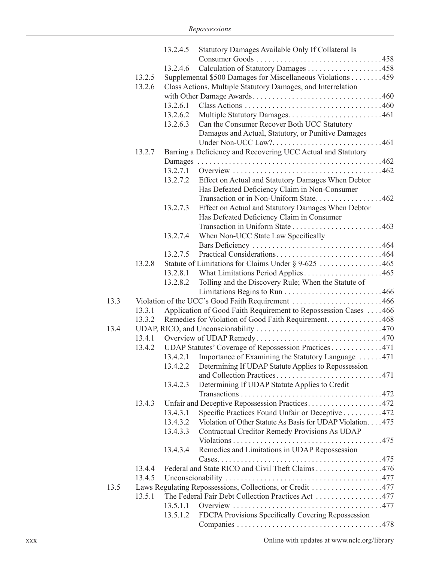|      |        | 13.2.4.5                                                     | Statutory Damages Available Only If Collateral Is                  |  |  |  |  |  |
|------|--------|--------------------------------------------------------------|--------------------------------------------------------------------|--|--|--|--|--|
|      |        |                                                              |                                                                    |  |  |  |  |  |
|      |        | 13.2.4.6                                                     |                                                                    |  |  |  |  |  |
|      | 13.2.5 |                                                              | Supplemental \$500 Damages for Miscellaneous Violations 459        |  |  |  |  |  |
|      | 13.2.6 | Class Actions, Multiple Statutory Damages, and Interrelation |                                                                    |  |  |  |  |  |
|      |        |                                                              |                                                                    |  |  |  |  |  |
|      |        | 13.2.6.1                                                     |                                                                    |  |  |  |  |  |
|      |        | 13.2.6.2                                                     |                                                                    |  |  |  |  |  |
|      |        | 13.2.6.3                                                     | Can the Consumer Recover Both UCC Statutory                        |  |  |  |  |  |
|      |        |                                                              |                                                                    |  |  |  |  |  |
|      |        |                                                              | Damages and Actual, Statutory, or Punitive Damages                 |  |  |  |  |  |
|      |        |                                                              |                                                                    |  |  |  |  |  |
|      | 13.2.7 |                                                              | Barring a Deficiency and Recovering UCC Actual and Statutory       |  |  |  |  |  |
|      |        |                                                              |                                                                    |  |  |  |  |  |
|      |        | 13.2.7.1                                                     |                                                                    |  |  |  |  |  |
|      |        | 13.2.7.2                                                     | Effect on Actual and Statutory Damages When Debtor                 |  |  |  |  |  |
|      |        |                                                              | Has Defeated Deficiency Claim in Non-Consumer                      |  |  |  |  |  |
|      |        |                                                              | Transaction or in Non-Uniform State462                             |  |  |  |  |  |
|      |        | 13.2.7.3                                                     | Effect on Actual and Statutory Damages When Debtor                 |  |  |  |  |  |
|      |        |                                                              | Has Defeated Deficiency Claim in Consumer                          |  |  |  |  |  |
|      |        |                                                              |                                                                    |  |  |  |  |  |
|      |        | 13.2.7.4                                                     | When Non-UCC State Law Specifically                                |  |  |  |  |  |
|      |        |                                                              |                                                                    |  |  |  |  |  |
|      |        | 13.2.7.5                                                     | Practical Considerations464                                        |  |  |  |  |  |
|      | 13.2.8 |                                                              |                                                                    |  |  |  |  |  |
|      |        |                                                              |                                                                    |  |  |  |  |  |
|      |        | 13.2.8.2                                                     | Tolling and the Discovery Rule; When the Statute of                |  |  |  |  |  |
|      |        |                                                              |                                                                    |  |  |  |  |  |
| 13.3 |        |                                                              |                                                                    |  |  |  |  |  |
|      | 13.3.1 |                                                              | Application of Good Faith Requirement to Repossession Cases  . 466 |  |  |  |  |  |
|      | 13.3.2 |                                                              | Remedies for Violation of Good Faith Requirement468                |  |  |  |  |  |
| 13.4 |        |                                                              |                                                                    |  |  |  |  |  |
|      |        |                                                              |                                                                    |  |  |  |  |  |
|      | 13.4.1 |                                                              |                                                                    |  |  |  |  |  |
|      | 13.4.2 |                                                              | UDAP Statutes' Coverage of Repossession Practices 471              |  |  |  |  |  |
|      |        | 13.4.2.1                                                     | Importance of Examining the Statutory Language 471                 |  |  |  |  |  |
|      |        |                                                              | 13.4.2.2 Determining If UDAP Statute Applies to Repossession       |  |  |  |  |  |
|      |        |                                                              |                                                                    |  |  |  |  |  |
|      |        | 13.4.2.3                                                     | Determining If UDAP Statute Applies to Credit                      |  |  |  |  |  |
|      |        |                                                              |                                                                    |  |  |  |  |  |
|      | 13.4.3 |                                                              | Unfair and Deceptive Repossession Practices. 472                   |  |  |  |  |  |
|      |        | 13.4.3.1                                                     | Specific Practices Found Unfair or Deceptive 472                   |  |  |  |  |  |
|      |        | 13.4.3.2                                                     | Violation of Other Statute As Basis for UDAP Violation. 475        |  |  |  |  |  |
|      |        | 13.4.3.3                                                     | Contractual Creditor Remedy Provisions As UDAP                     |  |  |  |  |  |
|      |        |                                                              |                                                                    |  |  |  |  |  |
|      |        | 13.4.3.4                                                     | Remedies and Limitations in UDAP Repossession                      |  |  |  |  |  |
|      |        |                                                              |                                                                    |  |  |  |  |  |
|      | 13.4.4 |                                                              | Federal and State RICO and Civil Theft Claims 476                  |  |  |  |  |  |
|      | 13.4.5 |                                                              |                                                                    |  |  |  |  |  |
| 13.5 |        |                                                              | Laws Regulating Repossessions, Collections, or Credit 477          |  |  |  |  |  |
|      | 13.5.1 |                                                              | The Federal Fair Debt Collection Practices Act 477                 |  |  |  |  |  |
|      |        | 13.5.1.1                                                     |                                                                    |  |  |  |  |  |
|      |        | 13.5.1.2                                                     | FDCPA Provisions Specifically Covering Repossession                |  |  |  |  |  |
|      |        |                                                              |                                                                    |  |  |  |  |  |
|      |        |                                                              |                                                                    |  |  |  |  |  |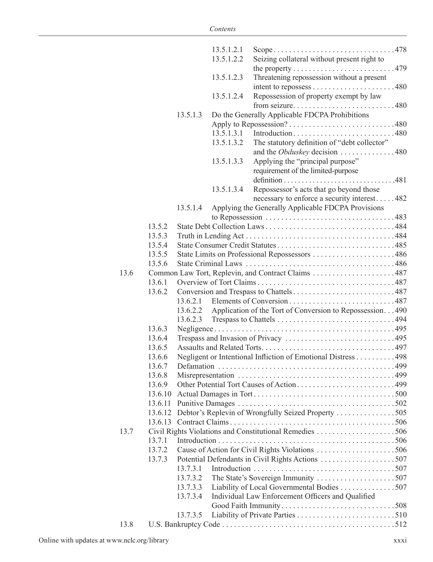|      |         |          | 13.5.1.2.1 | Scope478                                                                                      |  |
|------|---------|----------|------------|-----------------------------------------------------------------------------------------------|--|
|      |         |          | 13.5.1.2.2 | Seizing collateral without present right to                                                   |  |
|      |         |          |            |                                                                                               |  |
|      |         |          | 13.5.1.2.3 | Threatening repossession without a present                                                    |  |
|      |         |          |            |                                                                                               |  |
|      |         |          | 13.5.1.2.4 | Repossession of property exempt by law                                                        |  |
|      |         |          |            | from seizure480                                                                               |  |
|      |         | 13.5.1.3 |            | Do the Generally Applicable FDCPA Prohibitions                                                |  |
|      |         |          |            |                                                                                               |  |
|      |         |          | 13.5.1.3.1 | Introduction480                                                                               |  |
|      |         |          | 13.5.1.3.2 | The statutory definition of "debt collector"                                                  |  |
|      |         |          |            | and the <i>Obduskey</i> decision 480                                                          |  |
|      |         |          | 13.5.1.3.3 | Applying the "principal purpose"                                                              |  |
|      |         |          |            | requirement of the limited-purpose                                                            |  |
|      |         |          |            |                                                                                               |  |
|      |         |          | 13.5.1.3.4 | Repossessor's acts that go beyond those                                                       |  |
|      |         |          |            | necessary to enforce a security interest482                                                   |  |
|      |         | 13.5.1.4 |            | Applying the Generally Applicable FDCPA Provisions                                            |  |
|      |         |          |            | to Repossession $\ldots \ldots \ldots \ldots \ldots \ldots \ldots \ldots \ldots \ldots$ . 483 |  |
|      | 13.5.2  |          |            |                                                                                               |  |
|      | 13.5.3  |          |            |                                                                                               |  |
|      | 13.5.4  |          |            |                                                                                               |  |
|      | 13.5.5  |          |            | State Limits on Professional Repossessors 486                                                 |  |
|      | 13.5.6  |          |            |                                                                                               |  |
| 13.6 |         |          |            |                                                                                               |  |
|      | 13.6.1  |          |            |                                                                                               |  |
|      | 13.6.2  |          |            |                                                                                               |  |
|      |         |          |            |                                                                                               |  |
|      |         |          |            | 13.6.2.2 Application of the Tort of Conversion to Repossession490                             |  |
|      |         | 13.6.2.3 |            |                                                                                               |  |
|      | 13.6.3  |          |            |                                                                                               |  |
|      | 13.6.4  |          |            |                                                                                               |  |
|      | 13.6.5  |          |            |                                                                                               |  |
|      | 13.6.6  |          |            | Negligent or Intentional Infliction of Emotional Distress 498                                 |  |
|      | 13.6.7  |          |            |                                                                                               |  |
|      | 13.6.8  |          |            | Other Potential Tort Causes of Action499                                                      |  |
|      | 13.6.9  |          |            |                                                                                               |  |
|      | 13.6.10 |          |            |                                                                                               |  |
|      | 13.6.11 |          |            |                                                                                               |  |
|      |         |          |            | 13.6.12 Debtor's Replevin of Wrongfully Seized Property 505                                   |  |
| 13.7 |         |          |            |                                                                                               |  |
|      | 13.7.1  |          |            |                                                                                               |  |
|      | 13.7.2  |          |            |                                                                                               |  |
|      | 13.7.3  |          |            |                                                                                               |  |
|      |         | 13.7.3.1 |            |                                                                                               |  |
|      |         | 13.7.3.2 |            |                                                                                               |  |
|      |         | 13.7.3.3 |            | Liability of Local Governmental Bodies 507                                                    |  |
|      |         | 13.7.3.4 |            | Individual Law Enforcement Officers and Qualified                                             |  |
|      |         |          |            |                                                                                               |  |
|      |         | 13.7.3.5 |            |                                                                                               |  |
| 13.8 |         |          |            |                                                                                               |  |
|      |         |          |            |                                                                                               |  |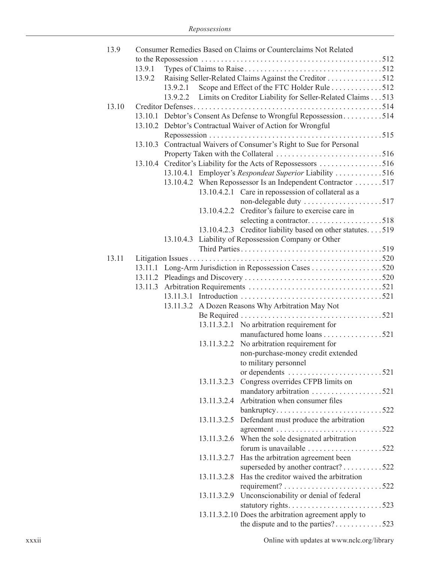| 13.9  |        |          | Consumer Remedies Based on Claims or Counterclaims Not Related            |  |
|-------|--------|----------|---------------------------------------------------------------------------|--|
|       |        |          |                                                                           |  |
|       | 13.9.1 |          |                                                                           |  |
|       | 13.9.2 |          | Raising Seller-Related Claims Against the Creditor 512                    |  |
|       |        | 13.9.2.1 | Scope and Effect of the FTC Holder Rule 512                               |  |
|       |        |          | 13.9.2.2 Limits on Creditor Liability for Seller-Related Claims 513       |  |
| 13.10 |        |          |                                                                           |  |
|       |        |          | 13.10.1 Debtor's Consent As Defense to Wrongful Repossession514           |  |
|       |        |          | 13.10.2 Debtor's Contractual Waiver of Action for Wrongful                |  |
|       |        |          |                                                                           |  |
|       |        |          |                                                                           |  |
|       |        |          | 13.10.3 Contractual Waivers of Consumer's Right to Sue for Personal       |  |
|       |        |          |                                                                           |  |
|       |        |          | 13.10.4 Creditor's Liability for the Acts of Repossessors 516             |  |
|       |        |          | 13.10.4.1 Employer's Respondeat Superior Liability 516                    |  |
|       |        |          | 13.10.4.2 When Repossessor Is an Independent Contractor 517               |  |
|       |        |          | 13.10.4.2.1 Care in repossession of collateral as a                       |  |
|       |        |          | non-delegable duty 517                                                    |  |
|       |        |          | 13.10.4.2.2 Creditor's failure to exercise care in                        |  |
|       |        |          |                                                                           |  |
|       |        |          | 13.10.4.2.3 Creditor liability based on other statutes519                 |  |
|       |        |          | 13.10.4.3 Liability of Repossession Company or Other                      |  |
|       |        |          |                                                                           |  |
| 13.11 |        |          |                                                                           |  |
|       |        |          |                                                                           |  |
|       |        |          |                                                                           |  |
|       |        |          |                                                                           |  |
|       |        |          |                                                                           |  |
|       |        |          | 13.11.3.2 A Dozen Reasons Why Arbitration May Not                         |  |
|       |        |          |                                                                           |  |
|       |        |          |                                                                           |  |
|       |        |          | 13.11.3.2.1 No arbitration requirement for<br>manufactured home loans 521 |  |
|       |        |          |                                                                           |  |
|       |        |          | 13.11.3.2.2 No arbitration requirement for                                |  |
|       |        |          | non-purchase-money credit extended                                        |  |
|       |        |          | to military personnel                                                     |  |
|       |        |          | or dependents 521                                                         |  |
|       |        |          | 13.11.3.2.3 Congress overrides CFPB limits on                             |  |
|       |        |          |                                                                           |  |
|       |        |          | 13.11.3.2.4 Arbitration when consumer files                               |  |
|       |        |          | bankruptcy522                                                             |  |
|       |        |          | 13.11.3.2.5 Defendant must produce the arbitration                        |  |
|       |        |          |                                                                           |  |
|       |        |          | 13.11.3.2.6 When the sole designated arbitration                          |  |
|       |        |          | forum is unavailable 522                                                  |  |
|       |        |          | 13.11.3.2.7 Has the arbitration agreement been                            |  |
|       |        |          | superseded by another contract?522                                        |  |
|       |        |          | 13.11.3.2.8 Has the creditor waived the arbitration                       |  |
|       |        |          |                                                                           |  |
|       |        |          | 13.11.3.2.9 Unconscionability or denial of federal                        |  |
|       |        |          |                                                                           |  |
|       |        |          | 13.11.3.2.10 Does the arbitration agreement apply to                      |  |
|       |        |          | the dispute and to the parties?523                                        |  |
|       |        |          |                                                                           |  |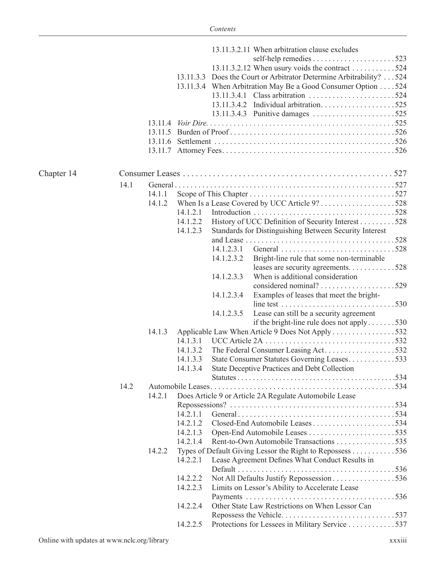|            |      |         |          |            | 13.11.3.2.11 When arbitration clause excludes                                                                |  |
|------------|------|---------|----------|------------|--------------------------------------------------------------------------------------------------------------|--|
|            |      |         |          |            |                                                                                                              |  |
|            |      |         |          |            | 13.11.3.2.12 When usury voids the contract 524                                                               |  |
|            |      |         |          |            | 13.11.3.3 Does the Court or Arbitrator Determine Arbitrability? 524                                          |  |
|            |      |         |          |            | 13.11.3.4 When Arbitration May Be a Good Consumer Option 524                                                 |  |
|            |      |         |          |            |                                                                                                              |  |
|            |      |         |          |            |                                                                                                              |  |
|            |      |         |          |            |                                                                                                              |  |
|            |      | 13 11 4 |          |            |                                                                                                              |  |
|            |      | 13 11 5 |          |            |                                                                                                              |  |
|            |      |         |          |            |                                                                                                              |  |
|            |      |         |          |            |                                                                                                              |  |
| Chapter 14 |      |         |          |            |                                                                                                              |  |
|            | 14.1 |         |          |            |                                                                                                              |  |
|            |      |         |          |            |                                                                                                              |  |
|            |      | 14.1.1  |          |            |                                                                                                              |  |
|            |      | 14.1.2  |          |            |                                                                                                              |  |
|            |      |         | 14.1.2.1 |            |                                                                                                              |  |
|            |      |         | 14.1.2.2 |            | History of UCC Definition of Security Interest 528                                                           |  |
|            |      |         | 14.1.2.3 |            | Standards for Distinguishing Between Security Interest                                                       |  |
|            |      |         |          |            |                                                                                                              |  |
|            |      |         |          | 14.1.2.3.1 | General 528                                                                                                  |  |
|            |      |         |          | 14.1.2.3.2 | Bright-line rule that some non-terminable                                                                    |  |
|            |      |         |          |            | leases are security agreements. 528                                                                          |  |
|            |      |         |          | 14.1.2.3.3 | When is additional consideration                                                                             |  |
|            |      |         |          |            |                                                                                                              |  |
|            |      |         |          | 14.1.2.3.4 | Examples of leases that meet the bright-                                                                     |  |
|            |      |         |          |            | line test $\dots \dots \dots \dots \dots \dots \dots \dots \dots \dots \dots 530$                            |  |
|            |      |         |          | 14.1.2.3.5 | Lease can still be a security agreement                                                                      |  |
|            |      |         |          |            | if the bright-line rule does not apply $\dots \dots 530$                                                     |  |
|            |      | 14.1.3  |          |            | Applicable Law When Article 9 Does Not Apply 532                                                             |  |
|            |      |         |          |            |                                                                                                              |  |
|            |      |         | 14.1.3.2 |            | The Federal Consumer Leasing Act532                                                                          |  |
|            |      |         | 14.1.3.3 |            | State Consumer Statutes Governing Leases533                                                                  |  |
|            |      |         | 14.1.3.4 |            | State Deceptive Practices and Debt Collection                                                                |  |
|            |      |         |          |            |                                                                                                              |  |
|            | 14.2 |         |          |            |                                                                                                              |  |
|            |      | 14.2.1  |          |            | Does Article 9 or Article 2A Regulate Automobile Lease                                                       |  |
|            |      |         |          |            |                                                                                                              |  |
|            |      |         | 14.2.1.1 |            |                                                                                                              |  |
|            |      |         | 14.2.1.2 |            |                                                                                                              |  |
|            |      |         |          |            |                                                                                                              |  |
|            |      |         | 14.2.1.3 |            |                                                                                                              |  |
|            |      |         | 14.2.1.4 |            | Rent-to-Own Automobile Transactions 535                                                                      |  |
|            |      | 14.2.2  | 14.2.2.1 |            | Types of Default Giving Lessor the Right to Repossess 536<br>Lease Agreement Defines What Conduct Results in |  |
|            |      |         |          |            |                                                                                                              |  |
|            |      |         | 14.2.2.2 |            | Not All Defaults Justify Repossession 536                                                                    |  |
|            |      |         | 14.2.2.3 |            | Limits on Lessor's Ability to Accelerate Lease                                                               |  |
|            |      |         |          |            |                                                                                                              |  |
|            |      |         | 14.2.2.4 |            | Other State Law Restrictions on When Lessor Can                                                              |  |
|            |      |         |          |            |                                                                                                              |  |
|            |      |         | 14.2.2.5 |            | Protections for Lessees in Military Service 537                                                              |  |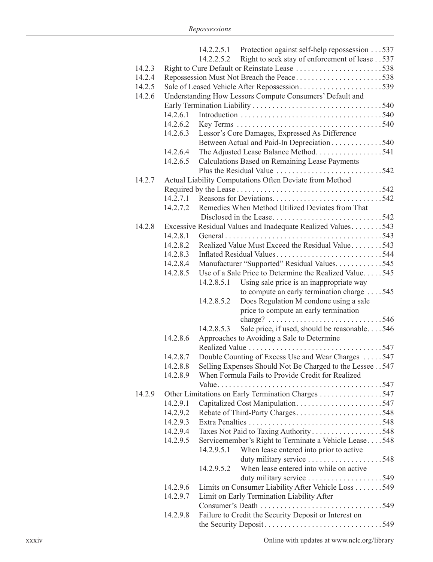|        |                                              |            | 14.2.2.5.1 Protection against self-help repossession 537                     |  |  |  |  |  |  |
|--------|----------------------------------------------|------------|------------------------------------------------------------------------------|--|--|--|--|--|--|
|        |                                              | 14.2.2.5.2 | Right to seek stay of enforcement of lease 537                               |  |  |  |  |  |  |
| 14.2.3 |                                              |            |                                                                              |  |  |  |  |  |  |
| 14.2.4 |                                              |            |                                                                              |  |  |  |  |  |  |
| 14.2.5 | Sale of Leased Vehicle After Repossession539 |            |                                                                              |  |  |  |  |  |  |
| 14.2.6 |                                              |            | Understanding How Lessors Compute Consumers' Default and                     |  |  |  |  |  |  |
|        |                                              |            |                                                                              |  |  |  |  |  |  |
|        | 14.2.6.1                                     |            |                                                                              |  |  |  |  |  |  |
|        | 14.2.6.2                                     |            |                                                                              |  |  |  |  |  |  |
|        | 14.2.6.3                                     |            | Lessor's Core Damages, Expressed As Difference                               |  |  |  |  |  |  |
|        |                                              |            | Between Actual and Paid-In Depreciation 540                                  |  |  |  |  |  |  |
|        | 14.2.6.4                                     |            | The Adjusted Lease Balance Method541                                         |  |  |  |  |  |  |
|        | 14.2.6.5                                     |            | Calculations Based on Remaining Lease Payments                               |  |  |  |  |  |  |
|        |                                              |            |                                                                              |  |  |  |  |  |  |
| 14.2.7 |                                              |            | Actual Liability Computations Often Deviate from Method                      |  |  |  |  |  |  |
|        |                                              |            |                                                                              |  |  |  |  |  |  |
|        | 14.2.7.1                                     |            |                                                                              |  |  |  |  |  |  |
|        | 14.2.7.2                                     |            | Remedies When Method Utilized Deviates from That                             |  |  |  |  |  |  |
|        |                                              |            |                                                                              |  |  |  |  |  |  |
| 14.2.8 |                                              |            | Excessive Residual Values and Inadequate Realized Values543                  |  |  |  |  |  |  |
|        | 14.2.8.1                                     |            |                                                                              |  |  |  |  |  |  |
|        | 14.2.8.2                                     |            | Realized Value Must Exceed the Residual Value543                             |  |  |  |  |  |  |
|        | 14.2.8.3                                     |            | Inflated Residual Values544                                                  |  |  |  |  |  |  |
|        | 14.2.8.4                                     |            | Manufacturer "Supported" Residual Values. 545                                |  |  |  |  |  |  |
|        | 14.2.8.5                                     |            | Use of a Sale Price to Determine the Realized Value545                       |  |  |  |  |  |  |
|        |                                              | 14.2.8.5.1 | Using sale price is an inappropriate way                                     |  |  |  |  |  |  |
|        |                                              |            | to compute an early termination charge 545                                   |  |  |  |  |  |  |
|        |                                              | 14.2.8.5.2 | Does Regulation M condone using a sale                                       |  |  |  |  |  |  |
|        |                                              |            | price to compute an early termination                                        |  |  |  |  |  |  |
|        |                                              |            | charge? $\ldots \ldots \ldots \ldots \ldots \ldots \ldots \ldots \ldots 546$ |  |  |  |  |  |  |
|        |                                              | 14.2.8.5.3 | Sale price, if used, should be reasonable546                                 |  |  |  |  |  |  |
|        | 14.2.8.6                                     |            | Approaches to Avoiding a Sale to Determine                                   |  |  |  |  |  |  |
|        |                                              |            |                                                                              |  |  |  |  |  |  |
|        | 14.2.8.7                                     |            | Double Counting of Excess Use and Wear Charges 547                           |  |  |  |  |  |  |
|        | 14.2.8.8                                     |            | Selling Expenses Should Not Be Charged to the Lessee 547                     |  |  |  |  |  |  |
|        | 14.2.8.9                                     |            | When Formula Fails to Provide Credit for Realized                            |  |  |  |  |  |  |
|        |                                              |            |                                                                              |  |  |  |  |  |  |
| 14.2.9 |                                              |            | Other Limitations on Early Termination Charges 547                           |  |  |  |  |  |  |
|        | 14.2.9.1                                     |            |                                                                              |  |  |  |  |  |  |
|        | 14.2.9.2                                     |            | Rebate of Third-Party Charges548                                             |  |  |  |  |  |  |
|        | 14.2.9.3                                     |            |                                                                              |  |  |  |  |  |  |
|        | 14.2.9.4                                     |            | Taxes Not Paid to Taxing Authority548                                        |  |  |  |  |  |  |
|        | 14.2.9.5                                     |            | Servicemember's Right to Terminate a Vehicle Lease548                        |  |  |  |  |  |  |
|        |                                              | 14.2.9.5.1 | When lease entered into prior to active                                      |  |  |  |  |  |  |
|        |                                              |            |                                                                              |  |  |  |  |  |  |
|        |                                              | 14.2.9.5.2 | When lease entered into while on active                                      |  |  |  |  |  |  |
|        |                                              |            |                                                                              |  |  |  |  |  |  |
|        | 14.2.9.6                                     |            | Limits on Consumer Liability After Vehicle Loss 549                          |  |  |  |  |  |  |
|        | 14.2.9.7                                     |            | Limit on Early Termination Liability After                                   |  |  |  |  |  |  |
|        |                                              |            |                                                                              |  |  |  |  |  |  |
|        | 14.2.9.8                                     |            | Failure to Credit the Security Deposit or Interest on                        |  |  |  |  |  |  |
|        |                                              |            |                                                                              |  |  |  |  |  |  |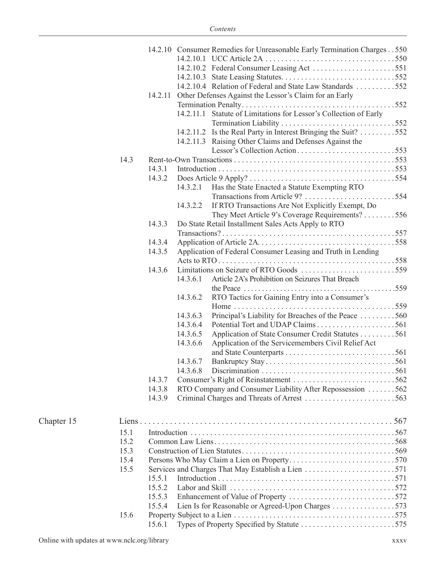|            |      |         |          | 14.2.10 Consumer Remedies for Unreasonable Early Termination Charges 550 |  |
|------------|------|---------|----------|--------------------------------------------------------------------------|--|
|            |      |         |          |                                                                          |  |
|            |      |         |          |                                                                          |  |
|            |      |         |          | 14.2.10.4 Relation of Federal and State Law Standards 552                |  |
|            |      | 14.2.11 |          | Other Defenses Against the Lessor's Claim for an Early                   |  |
|            |      |         |          |                                                                          |  |
|            |      |         |          | 14.2.11.1 Statute of Limitations for Lessor's Collection of Early        |  |
|            |      |         |          |                                                                          |  |
|            |      |         |          | 14.2.11.2 Is the Real Party in Interest Bringing the Suit? 552           |  |
|            |      |         |          | 14.2.11.3 Raising Other Claims and Defenses Against the                  |  |
|            |      |         |          |                                                                          |  |
|            | 14.3 |         |          |                                                                          |  |
|            |      | 14.3.1  |          |                                                                          |  |
|            |      | 14.3.2  |          |                                                                          |  |
|            |      |         | 14.3.2.1 | Has the State Enacted a Statute Exempting RTO                            |  |
|            |      |         |          |                                                                          |  |
|            |      |         | 14.3.2.2 | If RTO Transactions Are Not Explicitly Exempt, Do                        |  |
|            |      |         |          | They Meet Article 9's Coverage Requirements? 556                         |  |
|            |      | 14.3.3  |          | Do State Retail Installment Sales Acts Apply to RTO                      |  |
|            |      |         |          |                                                                          |  |
|            |      | 14.3.4  |          |                                                                          |  |
|            |      | 14.3.5  |          | Application of Federal Consumer Leasing and Truth in Lending             |  |
|            |      |         |          |                                                                          |  |
|            |      | 14.3.6  |          |                                                                          |  |
|            |      |         | 14.3.6.1 | Article 2A's Prohibition on Seizures That Breach                         |  |
|            |      |         |          |                                                                          |  |
|            |      |         | 14.3.6.2 | RTO Tactics for Gaining Entry into a Consumer's                          |  |
|            |      |         | 14.3.6.3 | Home $\ldots \ldots \ldots$                                              |  |
|            |      |         | 14.3.6.4 | Principal's Liability for Breaches of the Peace 560                      |  |
|            |      |         | 14.3.6.5 | Application of State Consumer Credit Statutes 561                        |  |
|            |      |         | 14.3.6.6 | Application of the Servicemembers Civil Relief Act                       |  |
|            |      |         |          |                                                                          |  |
|            |      |         | 14.3.6.7 |                                                                          |  |
|            |      |         | 14.3.6.8 |                                                                          |  |
|            |      | 14.3.7  |          |                                                                          |  |
|            |      | 14.3.8  |          | RTO Company and Consumer Liability After Repossession 562                |  |
|            |      | 14.3.9  |          |                                                                          |  |
|            |      |         |          |                                                                          |  |
| Chapter 15 |      |         |          |                                                                          |  |
|            | 15.1 |         |          |                                                                          |  |
|            | 15.2 |         |          |                                                                          |  |
|            | 15.3 |         |          |                                                                          |  |
|            | 15.4 |         |          |                                                                          |  |
|            | 15.5 |         |          |                                                                          |  |
|            |      | 15.5.1  |          |                                                                          |  |
|            |      | 15.5.2  |          |                                                                          |  |
|            |      | 15.5.3  |          |                                                                          |  |
|            |      | 15.5.4  |          | Lien Is for Reasonable or Agreed-Upon Charges 573                        |  |
|            | 15.6 |         |          |                                                                          |  |
|            |      | 15.6.1  |          |                                                                          |  |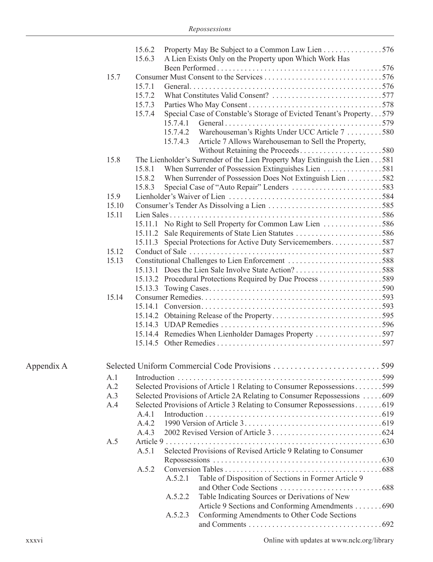|            |       | 15.6.2<br>15.6.3 |          | Property May Be Subject to a Common Law Lien 576<br>A Lien Exists Only on the Property upon Which Work Has |  |
|------------|-------|------------------|----------|------------------------------------------------------------------------------------------------------------|--|
|            | 15.7  |                  |          |                                                                                                            |  |
|            |       | 15.7.1           |          |                                                                                                            |  |
|            |       | 15.7.2           |          |                                                                                                            |  |
|            |       | 15.7.3           |          |                                                                                                            |  |
|            |       | 15.7.4           |          | Special Case of Constable's Storage of Evicted Tenant's Property579                                        |  |
|            |       |                  | 15.7.4.1 |                                                                                                            |  |
|            |       |                  | 15.7.4.2 | Warehouseman's Rights Under UCC Article 7 580                                                              |  |
|            |       |                  | 15.7.4.3 | Article 7 Allows Warehouseman to Sell the Property,                                                        |  |
|            | 15.8  |                  |          | The Lienholder's Surrender of the Lien Property May Extinguish the Lien 581                                |  |
|            |       | 15.8.1           |          | When Surrender of Possession Extinguishes Lien 581                                                         |  |
|            |       | 15.8.2           |          | When Surrender of Possession Does Not Extinguish Lien 582                                                  |  |
|            |       | 15.8.3           |          |                                                                                                            |  |
|            | 15.9  |                  |          |                                                                                                            |  |
|            | 15.10 |                  |          |                                                                                                            |  |
|            | 15.11 |                  |          |                                                                                                            |  |
|            |       |                  |          | 15.11.1 No Right to Sell Property for Common Law Lien 586                                                  |  |
|            |       |                  |          |                                                                                                            |  |
|            |       |                  |          | 15.11.3 Special Protections for Active Duty Servicemembers587                                              |  |
|            | 15.12 |                  |          |                                                                                                            |  |
|            | 15.13 |                  |          | Constitutional Challenges to Lien Enforcement 588                                                          |  |
|            |       |                  |          |                                                                                                            |  |
|            |       |                  |          |                                                                                                            |  |
|            |       |                  |          |                                                                                                            |  |
|            | 15.14 |                  |          |                                                                                                            |  |
|            |       |                  |          |                                                                                                            |  |
|            |       |                  |          |                                                                                                            |  |
|            |       |                  |          |                                                                                                            |  |
|            |       |                  |          | 15.14.4 Remedies When Lienholder Damages Property 597                                                      |  |
|            |       |                  |          |                                                                                                            |  |
| Appendix A |       |                  |          |                                                                                                            |  |
|            | A.1   |                  |          |                                                                                                            |  |
|            | A.2   |                  |          | Selected Provisions of Article 1 Relating to Consumer Repossessions599                                     |  |
|            | A.3   |                  |          | Selected Provisions of Article 2A Relating to Consumer Repossessions 609                                   |  |
|            | A.4   |                  |          |                                                                                                            |  |
|            |       | A.4.1            |          |                                                                                                            |  |
|            |       | A.4.2            |          |                                                                                                            |  |
|            |       | A.4.3            |          |                                                                                                            |  |
|            | A.5   |                  |          |                                                                                                            |  |
|            |       | A.5.1            |          | Selected Provisions of Revised Article 9 Relating to Consumer                                              |  |
|            |       |                  |          |                                                                                                            |  |
|            |       | A.5.2            |          |                                                                                                            |  |
|            |       |                  | A.5.2.1  | Table of Disposition of Sections in Former Article 9                                                       |  |
|            |       |                  | A.5.2.2  | Table Indicating Sources or Derivations of New                                                             |  |
|            |       |                  |          | Article 9 Sections and Conforming Amendments 690                                                           |  |
|            |       |                  | A.5.2.3  | Conforming Amendments to Other Code Sections                                                               |  |